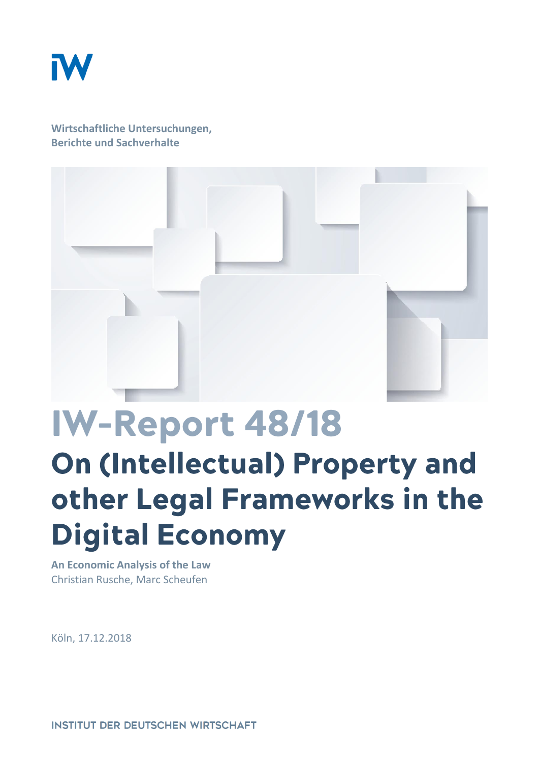

**Wirtschaftliche Untersuchungen, Berichte und Sachverhalte**



# IW-Report 48/18 On (Intellectual) Property and other Legal Frameworks in the **Digital Economy**

**An Economic Analysis of the Law** Christian Rusche, Marc Scheufen

Köln, 17.12.2018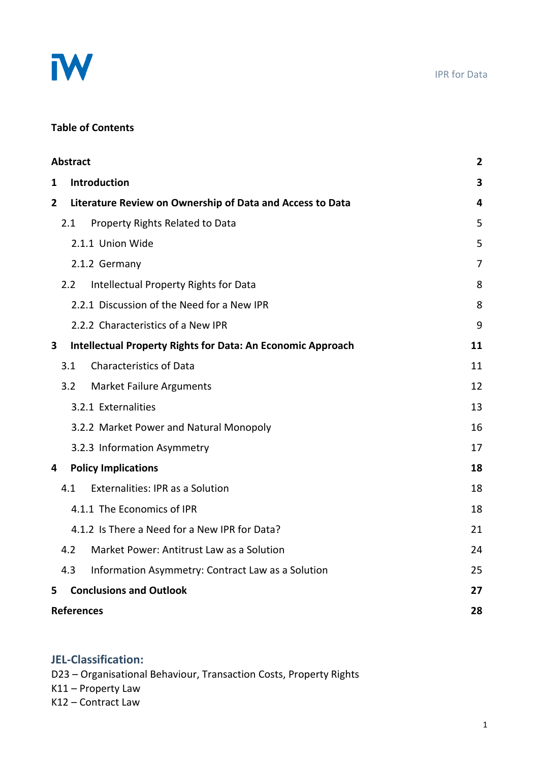

#### IPR for Data

# **Table of Contents**

|                | <b>Abstract</b>                                           |                                                                    |    |  |  |
|----------------|-----------------------------------------------------------|--------------------------------------------------------------------|----|--|--|
| 1              | <b>Introduction</b>                                       |                                                                    |    |  |  |
| $\overline{2}$ | Literature Review on Ownership of Data and Access to Data |                                                                    |    |  |  |
|                | 2.1                                                       | Property Rights Related to Data                                    | 5  |  |  |
|                |                                                           | 2.1.1 Union Wide                                                   | 5  |  |  |
|                |                                                           | 2.1.2 Germany                                                      | 7  |  |  |
|                | 2.2                                                       | Intellectual Property Rights for Data                              | 8  |  |  |
|                |                                                           | 2.2.1 Discussion of the Need for a New IPR                         | 8  |  |  |
|                |                                                           | 2.2.2 Characteristics of a New IPR                                 | 9  |  |  |
| 3              |                                                           | <b>Intellectual Property Rights for Data: An Economic Approach</b> | 11 |  |  |
|                | 3.1                                                       | <b>Characteristics of Data</b>                                     | 11 |  |  |
|                | 3.2                                                       | <b>Market Failure Arguments</b>                                    | 12 |  |  |
|                |                                                           | 3.2.1 Externalities                                                | 13 |  |  |
|                |                                                           | 3.2.2 Market Power and Natural Monopoly                            | 16 |  |  |
|                |                                                           | 3.2.3 Information Asymmetry                                        | 17 |  |  |
| 4              |                                                           | <b>Policy Implications</b>                                         |    |  |  |
|                | 4.1                                                       | <b>Externalities: IPR as a Solution</b>                            | 18 |  |  |
|                |                                                           | 4.1.1 The Economics of IPR                                         | 18 |  |  |
|                |                                                           | 4.1.2 Is There a Need for a New IPR for Data?                      | 21 |  |  |
|                | 4.2                                                       | Market Power: Antitrust Law as a Solution                          | 24 |  |  |
|                | 4.3                                                       | Information Asymmetry: Contract Law as a Solution                  | 25 |  |  |
| 5              |                                                           | <b>Conclusions and Outlook</b>                                     | 27 |  |  |
|                | <b>References</b>                                         |                                                                    |    |  |  |

### **JEL-Classification:**

D23 – Organisational Behaviour, Transaction Costs, Property Rights K11 – Property Law K12 – Contract Law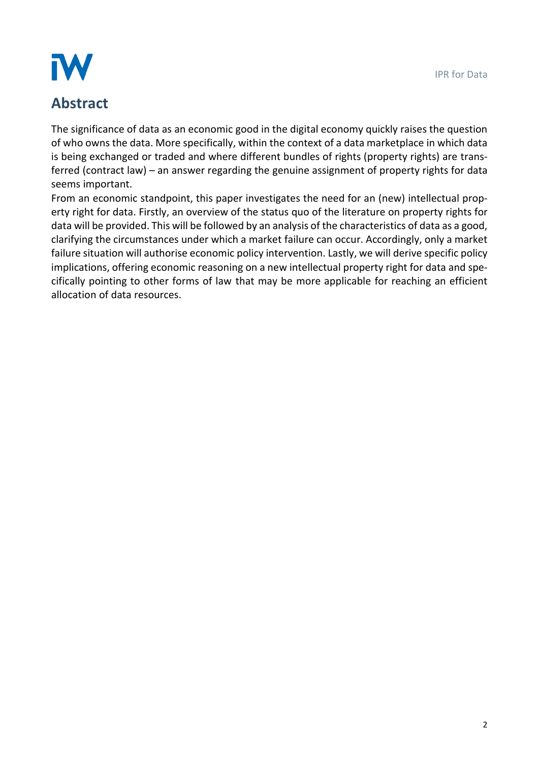# IW

# **Abstract**

The significance of data as an economic good in the digital economy quickly raises the question of who owns the data. More specifically, within the context of a data marketplace in which data is being exchanged or traded and where different bundles of rights (property rights) are transferred (contract law) – an answer regarding the genuine assignment of property rights for data seems important.

From an economic standpoint, this paper investigates the need for an (new) intellectual property right for data. Firstly, an overview of the status quo of the literature on property rights for data will be provided. This will be followed by an analysis of the characteristics of data as a good, clarifying the circumstances under which a market failure can occur. Accordingly, only a market failure situation will authorise economic policy intervention. Lastly, we will derive specific policy implications, offering economic reasoning on a new intellectual property right for data and specifically pointing to other forms of law that may be more applicable for reaching an efficient allocation of data resources.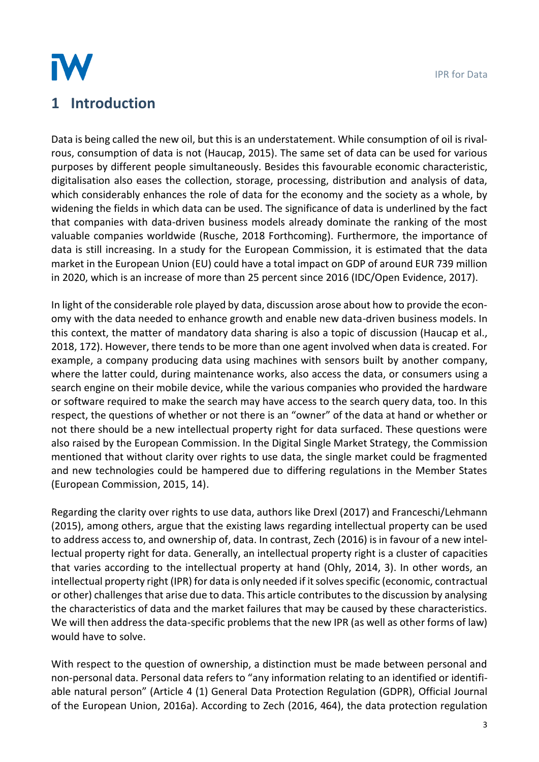

# **1 Introduction**

Data is being called the new oil, but this is an understatement. While consumption of oil is rivalrous, consumption of data is not (Haucap, 2015). The same set of data can be used for various purposes by different people simultaneously. Besides this favourable economic characteristic, digitalisation also eases the collection, storage, processing, distribution and analysis of data, which considerably enhances the role of data for the economy and the society as a whole, by widening the fields in which data can be used. The significance of data is underlined by the fact that companies with data-driven business models already dominate the ranking of the most valuable companies worldwide (Rusche, 2018 Forthcoming). Furthermore, the importance of data is still increasing. In a study for the European Commission, it is estimated that the data market in the European Union (EU) could have a total impact on GDP of around EUR 739 million in 2020, which is an increase of more than 25 percent since 2016 (IDC/Open Evidence, 2017).

In light of the considerable role played by data, discussion arose about how to provide the economy with the data needed to enhance growth and enable new data-driven business models. In this context, the matter of mandatory data sharing is also a topic of discussion (Haucap et al., 2018, 172). However, there tends to be more than one agent involved when data is created. For example, a company producing data using machines with sensors built by another company, where the latter could, during maintenance works, also access the data, or consumers using a search engine on their mobile device, while the various companies who provided the hardware or software required to make the search may have access to the search query data, too. In this respect, the questions of whether or not there is an "owner" of the data at hand or whether or not there should be a new intellectual property right for data surfaced. These questions were also raised by the European Commission. In the Digital Single Market Strategy, the Commission mentioned that without clarity over rights to use data, the single market could be fragmented and new technologies could be hampered due to differing regulations in the Member States (European Commission, 2015, 14).

Regarding the clarity over rights to use data, authors like Drexl (2017) and Franceschi/Lehmann (2015), among others, argue that the existing laws regarding intellectual property can be used to address access to, and ownership of, data. In contrast, Zech (2016) is in favour of a new intellectual property right for data. Generally, an intellectual property right is a cluster of capacities that varies according to the intellectual property at hand (Ohly, 2014, 3). In other words, an intellectual property right (IPR) for data is only needed if it solves specific (economic, contractual or other) challenges that arise due to data. This article contributes to the discussion by analysing the characteristics of data and the market failures that may be caused by these characteristics. We will then address the data-specific problems that the new IPR (as well as other forms of law) would have to solve.

With respect to the question of ownership, a distinction must be made between personal and non-personal data. Personal data refers to "any information relating to an identified or identifiable natural person" (Article 4 (1) General Data Protection Regulation (GDPR), Official Journal of the European Union, 2016a). According to Zech (2016, 464), the data protection regulation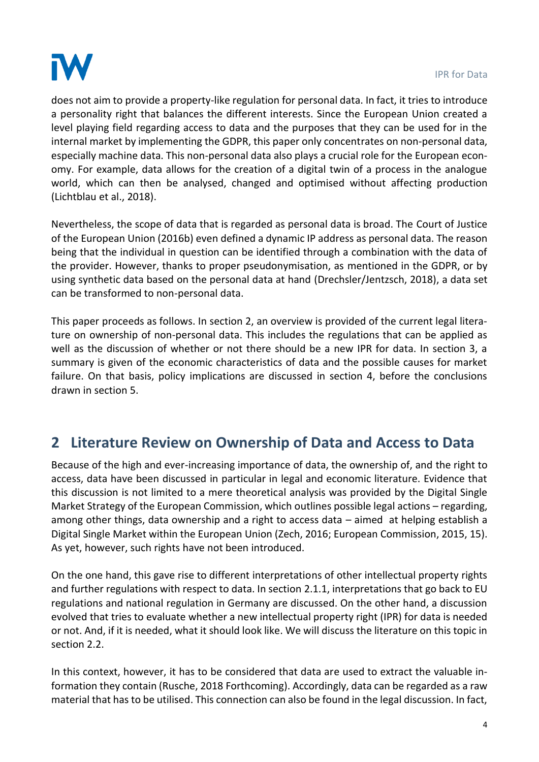

does not aim to provide a property-like regulation for personal data. In fact, it tries to introduce a personality right that balances the different interests. Since the European Union created a level playing field regarding access to data and the purposes that they can be used for in the internal market by implementing the GDPR, this paper only concentrates on non-personal data, especially machine data. This non-personal data also plays a crucial role for the European economy. For example, data allows for the creation of a digital twin of a process in the analogue world, which can then be analysed, changed and optimised without affecting production (Lichtblau et al., 2018).

Nevertheless, the scope of data that is regarded as personal data is broad. The Court of Justice of the European Union (2016b) even defined a dynamic IP address as personal data. The reason being that the individual in question can be identified through a combination with the data of the provider. However, thanks to proper pseudonymisation, as mentioned in the GDPR, or by using synthetic data based on the personal data at hand (Drechsler/Jentzsch, 2018), a data set can be transformed to non-personal data.

This paper proceeds as follows. In section 2, an overview is provided of the current legal literature on ownership of non-personal data. This includes the regulations that can be applied as well as the discussion of whether or not there should be a new IPR for data. In section 3, a summary is given of the economic characteristics of data and the possible causes for market failure. On that basis, policy implications are discussed in section 4, before the conclusions drawn in section 5.

# **2 Literature Review on Ownership of Data and Access to Data**

Because of the high and ever-increasing importance of data, the ownership of, and the right to access, data have been discussed in particular in legal and economic literature. Evidence that this discussion is not limited to a mere theoretical analysis was provided by the Digital Single Market Strategy of the European Commission, which outlines possible legal actions – regarding, among other things, data ownership and a right to access data – aimed at helping establish a Digital Single Market within the European Union (Zech, 2016; European Commission, 2015, 15). As yet, however, such rights have not been introduced.

On the one hand, this gave rise to different interpretations of other intellectual property rights and further regulations with respect to data. In section 2.1.1, interpretations that go back to EU regulations and national regulation in Germany are discussed. On the other hand, a discussion evolved that tries to evaluate whether a new intellectual property right (IPR) for data is needed or not. And, if it is needed, what it should look like. We will discuss the literature on this topic in section 2.2.

In this context, however, it has to be considered that data are used to extract the valuable information they contain (Rusche, 2018 Forthcoming). Accordingly, data can be regarded as a raw material that has to be utilised. This connection can also be found in the legal discussion. In fact,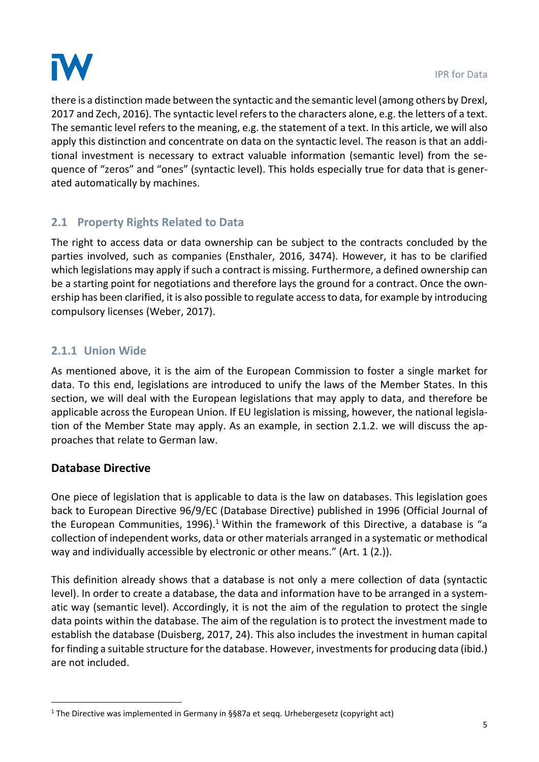

there is a distinction made between the syntactic and the semantic level (among others by Drexl, 2017 and Zech, 2016). The syntactic level refers to the characters alone, e.g. the letters of a text. The semantic level refers to the meaning, e.g. the statement of a text. In this article, we will also apply this distinction and concentrate on data on the syntactic level. The reason is that an additional investment is necessary to extract valuable information (semantic level) from the sequence of "zeros" and "ones" (syntactic level). This holds especially true for data that is generated automatically by machines.

# **2.1 Property Rights Related to Data**

The right to access data or data ownership can be subject to the contracts concluded by the parties involved, such as companies (Ensthaler, 2016, 3474). However, it has to be clarified which legislations may apply if such a contract is missing. Furthermore, a defined ownership can be a starting point for negotiations and therefore lays the ground for a contract. Once the ownership has been clarified, it is also possible to regulate access to data, for example by introducing compulsory licenses (Weber, 2017).

## **2.1.1 Union Wide**

As mentioned above, it is the aim of the European Commission to foster a single market for data. To this end, legislations are introduced to unify the laws of the Member States. In this section, we will deal with the European legislations that may apply to data, and therefore be applicable across the European Union. If EU legislation is missing, however, the national legislation of the Member State may apply. As an example, in section 2.1.2. we will discuss the approaches that relate to German law.

### **Database Directive**

.

One piece of legislation that is applicable to data is the law on databases. This legislation goes back to European Directive 96/9/EC (Database Directive) published in 1996 (Official Journal of the European Communities, 1996).<sup>1</sup> Within the framework of this Directive, a database is "a collection of independent works, data or other materials arranged in a systematic or methodical way and individually accessible by electronic or other means." (Art. 1 (2.)).

This definition already shows that a database is not only a mere collection of data (syntactic level). In order to create a database, the data and information have to be arranged in a systematic way (semantic level). Accordingly, it is not the aim of the regulation to protect the single data points within the database. The aim of the regulation is to protect the investment made to establish the database (Duisberg, 2017, 24). This also includes the investment in human capital for finding a suitable structure for the database. However, investments for producing data (ibid.) are not included.

<sup>1</sup> The Directive was implemented in Germany in §§87a et seqq. Urhebergesetz (copyright act)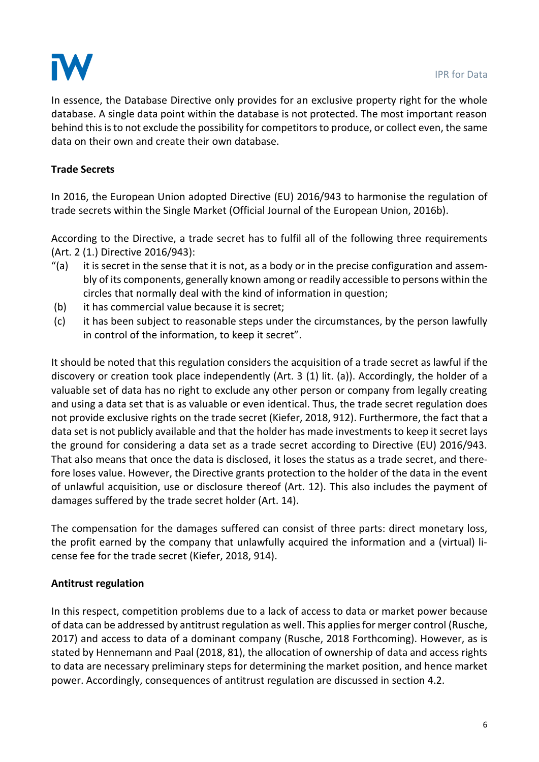

In essence, the Database Directive only provides for an exclusive property right for the whole database. A single data point within the database is not protected. The most important reason behind this is to not exclude the possibility for competitors to produce, or collect even, the same data on their own and create their own database.

### **Trade Secrets**

In 2016, the European Union adopted Directive (EU) 2016/943 to harmonise the regulation of trade secrets within the Single Market (Official Journal of the European Union, 2016b).

According to the Directive, a trade secret has to fulfil all of the following three requirements (Art. 2 (1.) Directive 2016/943):

- $''(a)$  it is secret in the sense that it is not, as a body or in the precise configuration and assembly of its components, generally known among or readily accessible to persons within the circles that normally deal with the kind of information in question;
- (b) it has commercial value because it is secret;
- (c) it has been subject to reasonable steps under the circumstances, by the person lawfully in control of the information, to keep it secret".

It should be noted that this regulation considers the acquisition of a trade secret as lawful if the discovery or creation took place independently (Art. 3 (1) lit. (a)). Accordingly, the holder of a valuable set of data has no right to exclude any other person or company from legally creating and using a data set that is as valuable or even identical. Thus, the trade secret regulation does not provide exclusive rights on the trade secret (Kiefer, 2018, 912). Furthermore, the fact that a data set is not publicly available and that the holder has made investments to keep it secret lays the ground for considering a data set as a trade secret according to Directive (EU) 2016/943. That also means that once the data is disclosed, it loses the status as a trade secret, and therefore loses value. However, the Directive grants protection to the holder of the data in the event of unlawful acquisition, use or disclosure thereof (Art. 12). This also includes the payment of damages suffered by the trade secret holder (Art. 14).

The compensation for the damages suffered can consist of three parts: direct monetary loss, the profit earned by the company that unlawfully acquired the information and a (virtual) license fee for the trade secret (Kiefer, 2018, 914).

### **Antitrust regulation**

In this respect, competition problems due to a lack of access to data or market power because of data can be addressed by antitrust regulation as well. This appliesfor merger control (Rusche, 2017) and access to data of a dominant company (Rusche, 2018 Forthcoming). However, as is stated by Hennemann and Paal (2018, 81), the allocation of ownership of data and access rights to data are necessary preliminary steps for determining the market position, and hence market power. Accordingly, consequences of antitrust regulation are discussed in section 4.2.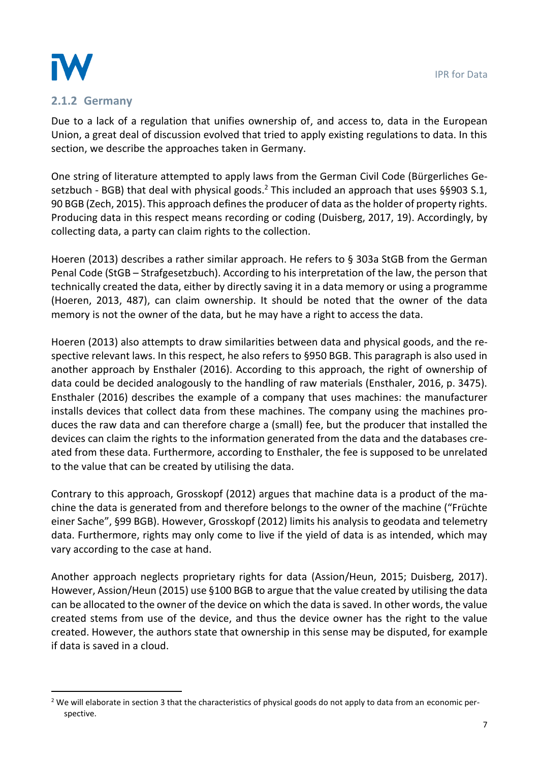

1

### **2.1.2 Germany**

Due to a lack of a regulation that unifies ownership of, and access to, data in the European Union, a great deal of discussion evolved that tried to apply existing regulations to data. In this section, we describe the approaches taken in Germany.

One string of literature attempted to apply laws from the German Civil Code (Bürgerliches Gesetzbuch - BGB) that deal with physical goods.<sup>2</sup> This included an approach that uses §§903 S.1, 90 BGB (Zech, 2015). This approach defines the producer of data as the holder of property rights. Producing data in this respect means recording or coding (Duisberg, 2017, 19). Accordingly, by collecting data, a party can claim rights to the collection.

Hoeren (2013) describes a rather similar approach. He refers to § 303a StGB from the German Penal Code (StGB – Strafgesetzbuch). According to his interpretation of the law, the person that technically created the data, either by directly saving it in a data memory or using a programme (Hoeren, 2013, 487), can claim ownership. It should be noted that the owner of the data memory is not the owner of the data, but he may have a right to access the data.

Hoeren (2013) also attempts to draw similarities between data and physical goods, and the respective relevant laws. In this respect, he also refers to §950 BGB. This paragraph is also used in another approach by Ensthaler (2016). According to this approach, the right of ownership of data could be decided analogously to the handling of raw materials (Ensthaler, 2016, p. 3475). Ensthaler (2016) describes the example of a company that uses machines: the manufacturer installs devices that collect data from these machines. The company using the machines produces the raw data and can therefore charge a (small) fee, but the producer that installed the devices can claim the rights to the information generated from the data and the databases created from these data. Furthermore, according to Ensthaler, the fee is supposed to be unrelated to the value that can be created by utilising the data.

Contrary to this approach, Grosskopf (2012) argues that machine data is a product of the machine the data is generated from and therefore belongs to the owner of the machine ("Früchte einer Sache", §99 BGB). However, Grosskopf (2012) limits his analysis to geodata and telemetry data. Furthermore, rights may only come to live if the yield of data is as intended, which may vary according to the case at hand.

Another approach neglects proprietary rights for data (Assion/Heun, 2015; Duisberg, 2017). However, Assion/Heun (2015) use §100 BGB to argue that the value created by utilising the data can be allocated to the owner of the device on which the data is saved. In other words, the value created stems from use of the device, and thus the device owner has the right to the value created. However, the authors state that ownership in this sense may be disputed, for example if data is saved in a cloud.

<sup>&</sup>lt;sup>2</sup> We will elaborate in section 3 that the characteristics of physical goods do not apply to data from an economic perspective.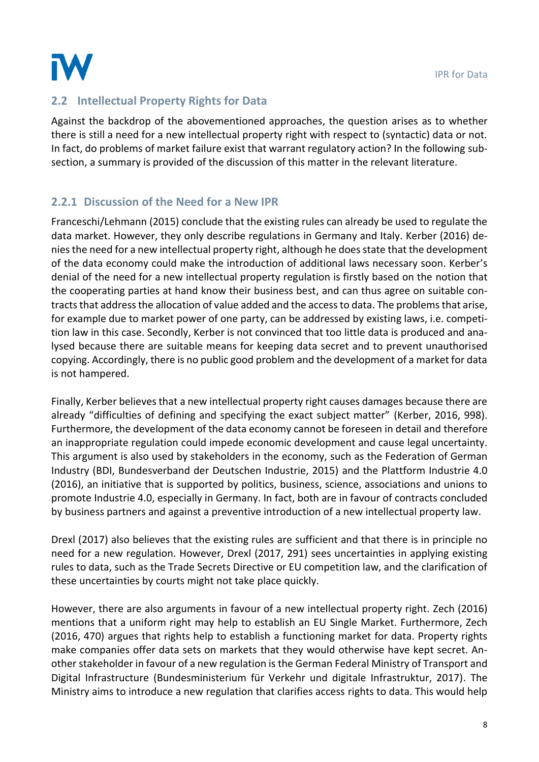

## **2.2 Intellectual Property Rights for Data**

Against the backdrop of the abovementioned approaches, the question arises as to whether there is still a need for a new intellectual property right with respect to (syntactic) data or not. In fact, do problems of market failure exist that warrant regulatory action? In the following subsection, a summary is provided of the discussion of this matter in the relevant literature.

## <span id="page-8-0"></span>**2.2.1 Discussion of the Need for a New IPR**

Franceschi/Lehmann (2015) conclude that the existing rules can already be used to regulate the data market. However, they only describe regulations in Germany and Italy. Kerber (2016) denies the need for a new intellectual property right, although he doesstate that the development of the data economy could make the introduction of additional laws necessary soon. Kerber's denial of the need for a new intellectual property regulation is firstly based on the notion that the cooperating parties at hand know their business best, and can thus agree on suitable contracts that address the allocation of value added and the access to data. The problems that arise, for example due to market power of one party, can be addressed by existing laws, i.e. competition law in this case. Secondly, Kerber is not convinced that too little data is produced and analysed because there are suitable means for keeping data secret and to prevent unauthorised copying. Accordingly, there is no public good problem and the development of a market for data is not hampered.

Finally, Kerber believes that a new intellectual property right causes damages because there are already "difficulties of defining and specifying the exact subject matter" (Kerber, 2016, 998). Furthermore, the development of the data economy cannot be foreseen in detail and therefore an inappropriate regulation could impede economic development and cause legal uncertainty. This argument is also used by stakeholders in the economy, such as the Federation of German Industry (BDI, Bundesverband der Deutschen Industrie, 2015) and the Plattform Industrie 4.0 (2016), an initiative that is supported by politics, business, science, associations and unions to promote Industrie 4.0, especially in Germany. In fact, both are in favour of contracts concluded by business partners and against a preventive introduction of a new intellectual property law.

Drexl (2017) also believes that the existing rules are sufficient and that there is in principle no need for a new regulation. However, Drexl (2017, 291) sees uncertainties in applying existing rules to data, such as the Trade Secrets Directive or EU competition law, and the clarification of these uncertainties by courts might not take place quickly.

However, there are also arguments in favour of a new intellectual property right. Zech (2016) mentions that a uniform right may help to establish an EU Single Market. Furthermore, Zech (2016, 470) argues that rights help to establish a functioning market for data. Property rights make companies offer data sets on markets that they would otherwise have kept secret. Another stakeholder in favour of a new regulation is the German Federal Ministry of Transport and Digital Infrastructure (Bundesministerium für Verkehr und digitale Infrastruktur, 2017). The Ministry aims to introduce a new regulation that clarifies access rights to data. This would help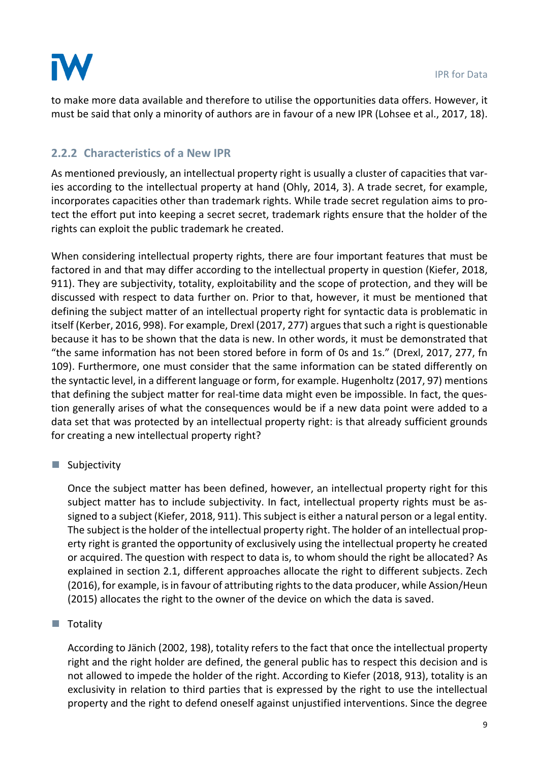

to make more data available and therefore to utilise the opportunities data offers. However, it must be said that only a minority of authors are in favour of a new IPR (Lohsee et al., 2017, 18).

## <span id="page-9-0"></span>**2.2.2 Characteristics of a New IPR**

As mentioned previously, an intellectual property right is usually a cluster of capacities that varies according to the intellectual property at hand (Ohly, 2014, 3). A trade secret, for example, incorporates capacities other than trademark rights. While trade secret regulation aims to protect the effort put into keeping a secret secret, trademark rights ensure that the holder of the rights can exploit the public trademark he created.

When considering intellectual property rights, there are four important features that must be factored in and that may differ according to the intellectual property in question (Kiefer, 2018, 911). They are subjectivity, totality, exploitability and the scope of protection, and they will be discussed with respect to data further on. Prior to that, however, it must be mentioned that defining the subject matter of an intellectual property right for syntactic data is problematic in itself (Kerber, 2016, 998). For example, Drexl (2017, 277) argues that such a right is questionable because it has to be shown that the data is new. In other words, it must be demonstrated that "the same information has not been stored before in form of 0s and 1s." (Drexl, 2017, 277, fn 109). Furthermore, one must consider that the same information can be stated differently on the syntactic level, in a different language or form, for example. Hugenholtz(2017, 97) mentions that defining the subject matter for real-time data might even be impossible. In fact, the question generally arises of what the consequences would be if a new data point were added to a data set that was protected by an intellectual property right: is that already sufficient grounds for creating a new intellectual property right?

### $\blacksquare$  Subjectivity

Once the subject matter has been defined, however, an intellectual property right for this subject matter has to include subjectivity. In fact, intellectual property rights must be assigned to a subject (Kiefer, 2018, 911). This subject is either a natural person or a legal entity. The subject is the holder of the intellectual property right. The holder of an intellectual property right is granted the opportunity of exclusively using the intellectual property he created or acquired. The question with respect to data is, to whom should the right be allocated? As explained in section 2.1, different approaches allocate the right to different subjects. Zech (2016), for example, is in favour of attributing rights to the data producer, while Assion/Heun (2015) allocates the right to the owner of the device on which the data is saved.

### ■ Totality

According to Jänich (2002, 198), totality refers to the fact that once the intellectual property right and the right holder are defined, the general public has to respect this decision and is not allowed to impede the holder of the right. According to Kiefer (2018, 913), totality is an exclusivity in relation to third parties that is expressed by the right to use the intellectual property and the right to defend oneself against unjustified interventions. Since the degree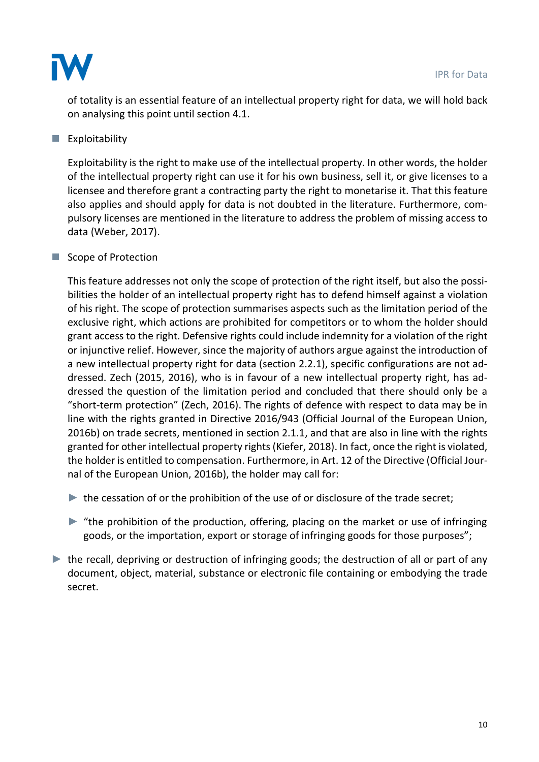

of totality is an essential feature of an intellectual property right for data, we will hold back on analysing this point until section [4.1.](#page-18-0)

### $\blacksquare$  Exploitability

Exploitability is the right to make use of the intellectual property. In other words, the holder of the intellectual property right can use it for his own business, sell it, or give licenses to a licensee and therefore grant a contracting party the right to monetarise it. That this feature also applies and should apply for data is not doubted in the literature. Furthermore, compulsory licenses are mentioned in the literature to address the problem of missing access to data (Weber, 2017).

### ■ Scope of Protection

This feature addresses not only the scope of protection of the right itself, but also the possibilities the holder of an intellectual property right has to defend himself against a violation of his right. The scope of protection summarises aspects such as the limitation period of the exclusive right, which actions are prohibited for competitors or to whom the holder should grant access to the right. Defensive rights could include indemnity for a violation of the right or injunctive relief. However, since the majority of authors argue against the introduction of a new intellectual property right for data (section [2.2.1\)](#page-8-0), specific configurations are not addressed. Zech (2015, 2016), who is in favour of a new intellectual property right, has addressed the question of the limitation period and concluded that there should only be a "short-term protection" (Zech, 2016). The rights of defence with respect to data may be in line with the rights granted in Directive 2016/943 (Official Journal of the European Union, 2016b) on trade secrets, mentioned in section 2.1.1, and that are also in line with the rights granted for other intellectual property rights (Kiefer, 2018). In fact, once the right is violated, the holder is entitled to compensation. Furthermore, in Art. 12 of the Directive (Official Journal of the European Union, 2016b), the holder may call for:

- $\blacktriangleright$  the cessation of or the prohibition of the use of or disclosure of the trade secret;
- ► "the prohibition of the production, offering, placing on the market or use of infringing goods, or the importation, export or storage of infringing goods for those purposes";
- $\blacktriangleright$  the recall, depriving or destruction of infringing goods; the destruction of all or part of any document, object, material, substance or electronic file containing or embodying the trade secret.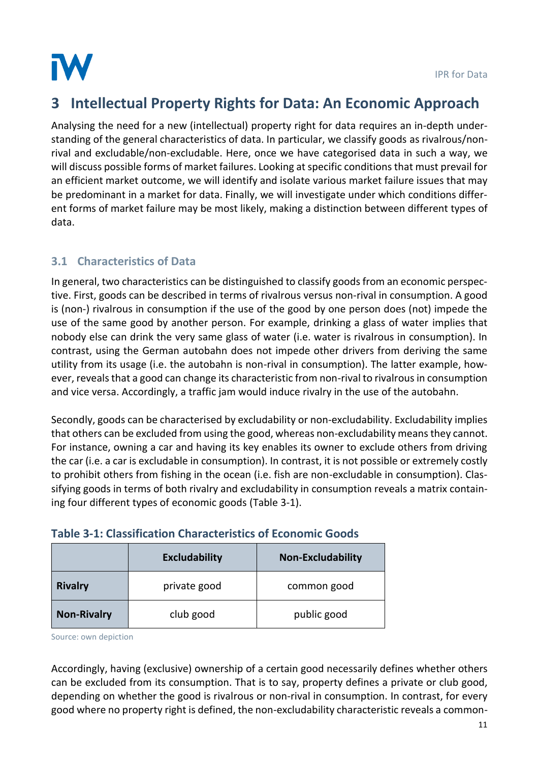

# <span id="page-11-1"></span>**3 Intellectual Property Rights for Data: An Economic Approach**

Analysing the need for a new (intellectual) property right for data requires an in-depth understanding of the general characteristics of data. In particular, we classify goods as rivalrous/nonrival and excludable/non-excludable. Here, once we have categorised data in such a way, we will discuss possible forms of market failures. Looking at specific conditions that must prevail for an efficient market outcome, we will identify and isolate various market failure issues that may be predominant in a market for data. Finally, we will investigate under which conditions different forms of market failure may be most likely, making a distinction between different types of data.

# **3.1 Characteristics of Data**

In general, two characteristics can be distinguished to classify goods from an economic perspective. First, goods can be described in terms of rivalrous versus non-rival in consumption. A good is (non-) rivalrous in consumption if the use of the good by one person does (not) impede the use of the same good by another person. For example, drinking a glass of water implies that nobody else can drink the very same glass of water (i.e. water is rivalrous in consumption). In contrast, using the German autobahn does not impede other drivers from deriving the same utility from its usage (i.e. the autobahn is non-rival in consumption). The latter example, however, reveals that a good can change its characteristic from non-rival to rivalrousin consumption and vice versa. Accordingly, a traffic jam would induce rivalry in the use of the autobahn.

Secondly, goods can be characterised by excludability or non-excludability. Excludability implies that others can be excluded from using the good, whereas non-excludability means they cannot. For instance, owning a car and having its key enables its owner to exclude others from driving the car (i.e. a car is excludable in consumption). In contrast, it is not possible or extremely costly to prohibit others from fishing in the ocean (i.e. fish are non-excludable in consumption). Classifying goods in terms of both rivalry and excludability in consumption reveals a matrix containing four different types of economic goods [\(Table](#page-11-0) 3-1).

|                    | <b>Excludability</b> | <b>Non-Excludability</b> |
|--------------------|----------------------|--------------------------|
| <b>Rivalry</b>     | private good         | common good              |
| <b>Non-Rivalry</b> | club good            | public good              |

# <span id="page-11-0"></span>**Table 3-1: Classification Characteristics of Economic Goods**

Source: own depiction

Accordingly, having (exclusive) ownership of a certain good necessarily defines whether others can be excluded from its consumption. That is to say, property defines a private or club good, depending on whether the good is rivalrous or non-rival in consumption. In contrast, for every good where no property right is defined, the non-excludability characteristic reveals a common-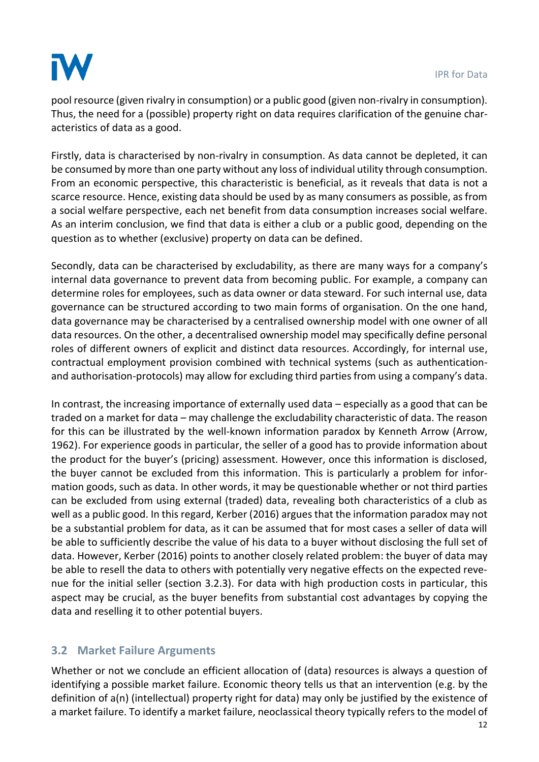# IW

pool resource (given rivalry in consumption) or a public good (given non-rivalry in consumption). Thus, the need for a (possible) property right on data requires clarification of the genuine characteristics of data as a good.

Firstly, data is characterised by non-rivalry in consumption. As data cannot be depleted, it can be consumed by more than one party without any loss of individual utility through consumption. From an economic perspective, this characteristic is beneficial, as it reveals that data is not a scarce resource. Hence, existing data should be used by as many consumers as possible, as from a social welfare perspective, each net benefit from data consumption increases social welfare. As an interim conclusion, we find that data is either a club or a public good, depending on the question as to whether (exclusive) property on data can be defined.

Secondly, data can be characterised by excludability, as there are many ways for a company's internal data governance to prevent data from becoming public. For example, a company can determine roles for employees, such as data owner or data steward. For such internal use, data governance can be structured according to two main forms of organisation. On the one hand, data governance may be characterised by a centralised ownership model with one owner of all data resources. On the other, a decentralised ownership model may specifically define personal roles of different owners of explicit and distinct data resources. Accordingly, for internal use, contractual employment provision combined with technical systems (such as authenticationand authorisation-protocols) may allow for excluding third parties from using a company's data.

In contrast, the increasing importance of externally used data – especially as a good that can be traded on a market for data – may challenge the excludability characteristic of data. The reason for this can be illustrated by the well-known information paradox by Kenneth Arrow (Arrow, 1962). For experience goods in particular, the seller of a good has to provide information about the product for the buyer's (pricing) assessment. However, once this information is disclosed, the buyer cannot be excluded from this information. This is particularly a problem for information goods, such as data. In other words, it may be questionable whether or not third parties can be excluded from using external (traded) data, revealing both characteristics of a club as well as a public good. In this regard, Kerber (2016) argues that the information paradox may not be a substantial problem for data, as it can be assumed that for most cases a seller of data will be able to sufficiently describe the value of his data to a buyer without disclosing the full set of data. However, Kerber (2016) points to another closely related problem: the buyer of data may be able to resell the data to others with potentially very negative effects on the expected revenue for the initial seller (section [3.2.3\)](#page-17-0). For data with high production costs in particular, this aspect may be crucial, as the buyer benefits from substantial cost advantages by copying the data and reselling it to other potential buyers.

# **3.2 Market Failure Arguments**

Whether or not we conclude an efficient allocation of (data) resources is always a question of identifying a possible market failure. Economic theory tells us that an intervention (e.g. by the definition of a(n) (intellectual) property right for data) may only be justified by the existence of a market failure. To identify a market failure, neoclassical theory typically refers to the model of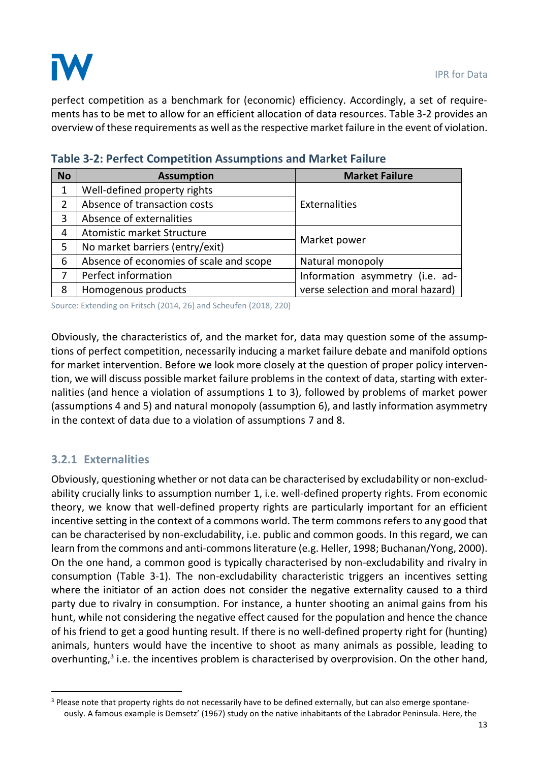

perfect competition as a benchmark for (economic) efficiency. Accordingly, a set of requirements has to be met to allow for an efficient allocation of data resources. [Table](#page-13-0) 3-2 provides an overview of these requirements as well as the respective market failure in the event of violation.

| <b>No</b> | <b>Assumption</b>                       | <b>Market Failure</b>             |  |  |  |
|-----------|-----------------------------------------|-----------------------------------|--|--|--|
| 1         | Well-defined property rights            | Externalities                     |  |  |  |
| 2         | Absence of transaction costs            |                                   |  |  |  |
| 3         | Absence of externalities                |                                   |  |  |  |
| 4         | Atomistic market Structure              | Market power                      |  |  |  |
| 5         | No market barriers (entry/exit)         |                                   |  |  |  |
| 6         | Absence of economies of scale and scope | Natural monopoly                  |  |  |  |
| 7         | Perfect information                     | Information asymmetry (i.e. ad-   |  |  |  |
| 8         | Homogenous products                     | verse selection and moral hazard) |  |  |  |

<span id="page-13-0"></span>

Source: Extending on Fritsch (2014, 26) and Scheufen (2018, 220)

Obviously, the characteristics of, and the market for, data may question some of the assumptions of perfect competition, necessarily inducing a market failure debate and manifold options for market intervention. Before we look more closely at the question of proper policy intervention, we will discuss possible market failure problems in the context of data, starting with externalities (and hence a violation of assumptions 1 to 3), followed by problems of market power (assumptions 4 and 5) and natural monopoly (assumption 6), and lastly information asymmetry in the context of data due to a violation of assumptions 7 and 8.

### **3.2.1 Externalities**

1

Obviously, questioning whether or not data can be characterised by excludability or non-excludability crucially links to assumption number 1, i.e. well-defined property rights. From economic theory, we know that well-defined property rights are particularly important for an efficient incentive setting in the context of a commons world. The term commons refers to any good that can be characterised by non-excludability, i.e. public and common goods. In this regard, we can learn from the commons and anti-commons literature (e.g. Heller, 1998; Buchanan/Yong, 2000). On the one hand, a common good is typically characterised by non-excludability and rivalry in consumption [\(Table](#page-11-0) 3-1). The non-excludability characteristic triggers an incentives setting where the initiator of an action does not consider the negative externality caused to a third party due to rivalry in consumption. For instance, a hunter shooting an animal gains from his hunt, while not considering the negative effect caused for the population and hence the chance of his friend to get a good hunting result. If there is no well-defined property right for (hunting) animals, hunters would have the incentive to shoot as many animals as possible, leading to overhunting,<sup>3</sup> i.e. the incentives problem is characterised by overprovision. On the other hand,

<sup>&</sup>lt;sup>3</sup> Please note that property rights do not necessarily have to be defined externally, but can also emerge spontaneously. A famous example is Demsetz' (1967) study on the native inhabitants of the Labrador Peninsula. Here, the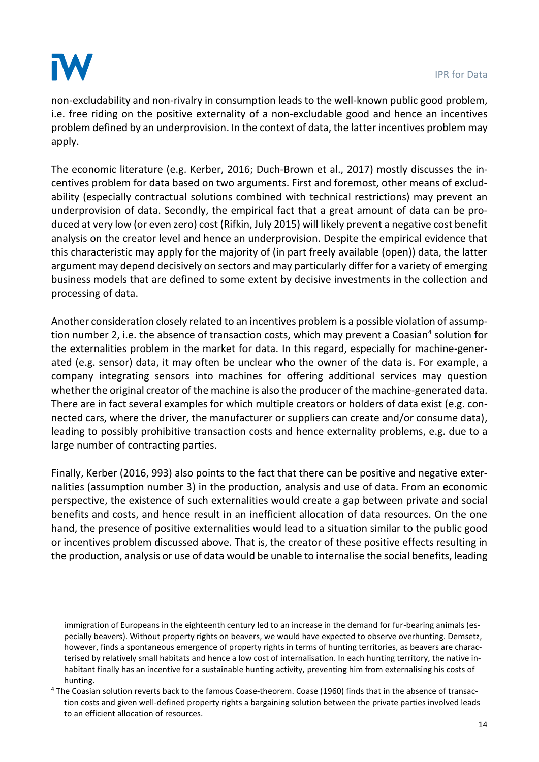

1

non-excludability and non-rivalry in consumption leads to the well-known public good problem, i.e. free riding on the positive externality of a non-excludable good and hence an incentives problem defined by an underprovision. In the context of data, the latter incentives problem may apply.

The economic literature (e.g. Kerber, 2016; Duch-Brown et al., 2017) mostly discusses the incentives problem for data based on two arguments. First and foremost, other means of excludability (especially contractual solutions combined with technical restrictions) may prevent an underprovision of data. Secondly, the empirical fact that a great amount of data can be produced at very low (or even zero) cost (Rifkin, July 2015) will likely prevent a negative cost benefit analysis on the creator level and hence an underprovision. Despite the empirical evidence that this characteristic may apply for the majority of (in part freely available (open)) data, the latter argument may depend decisively on sectors and may particularly differ for a variety of emerging business models that are defined to some extent by decisive investments in the collection and processing of data.

Another consideration closely related to an incentives problem is a possible violation of assumption number 2, i.e. the absence of transaction costs, which may prevent a Coasian<sup>4</sup> solution for the externalities problem in the market for data. In this regard, especially for machine-generated (e.g. sensor) data, it may often be unclear who the owner of the data is. For example, a company integrating sensors into machines for offering additional services may question whether the original creator of the machine is also the producer of the machine-generated data. There are in fact several examples for which multiple creators or holders of data exist (e.g. connected cars, where the driver, the manufacturer or suppliers can create and/or consume data), leading to possibly prohibitive transaction costs and hence externality problems, e.g. due to a large number of contracting parties.

Finally, Kerber (2016, 993) also points to the fact that there can be positive and negative externalities (assumption number 3) in the production, analysis and use of data. From an economic perspective, the existence of such externalities would create a gap between private and social benefits and costs, and hence result in an inefficient allocation of data resources. On the one hand, the presence of positive externalities would lead to a situation similar to the public good or incentives problem discussed above. That is, the creator of these positive effects resulting in the production, analysis or use of data would be unable to internalise the social benefits, leading

immigration of Europeans in the eighteenth century led to an increase in the demand for fur-bearing animals (especially beavers). Without property rights on beavers, we would have expected to observe overhunting. Demsetz, however, finds a spontaneous emergence of property rights in terms of hunting territories, as beavers are characterised by relatively small habitats and hence a low cost of internalisation. In each hunting territory, the native inhabitant finally has an incentive for a sustainable hunting activity, preventing him from externalising his costs of hunting.

<sup>4</sup> The Coasian solution reverts back to the famous Coase-theorem. Coase (1960) finds that in the absence of transaction costs and given well-defined property rights a bargaining solution between the private parties involved leads to an efficient allocation of resources.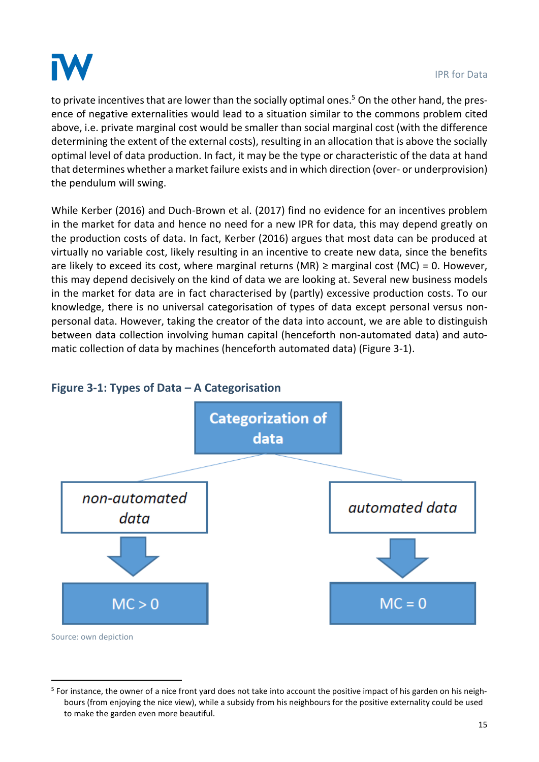

.

to private incentives that are lower than the socially optimal ones.<sup>5</sup> On the other hand, the presence of negative externalities would lead to a situation similar to the commons problem cited above, i.e. private marginal cost would be smaller than social marginal cost (with the difference determining the extent of the external costs), resulting in an allocation that is above the socially optimal level of data production. In fact, it may be the type or characteristic of the data at hand that determines whether a market failure exists and in which direction (over- or underprovision) the pendulum will swing.

While Kerber (2016) and Duch-Brown et al. (2017) find no evidence for an incentives problem in the market for data and hence no need for a new IPR for data, this may depend greatly on the production costs of data. In fact, Kerber (2016) argues that most data can be produced at virtually no variable cost, likely resulting in an incentive to create new data, since the benefits are likely to exceed its cost, where marginal returns (MR)  $\geq$  marginal cost (MC) = 0. However, this may depend decisively on the kind of data we are looking at. Several new business models in the market for data are in fact characterised by (partly) excessive production costs. To our knowledge, there is no universal categorisation of types of data except personal versus nonpersonal data. However, taking the creator of the data into account, we are able to distinguish between data collection involving human capital (henceforth non-automated data) and automatic collection of data by machines (henceforth automated data) [\(Figure 3-1\)](#page-15-0).



### <span id="page-15-0"></span>**Figure 3-1: Types of Data – A Categorisation**

<sup>&</sup>lt;sup>5</sup> For instance, the owner of a nice front yard does not take into account the positive impact of his garden on his neighbours (from enjoying the nice view), while a subsidy from his neighbours for the positive externality could be used to make the garden even more beautiful.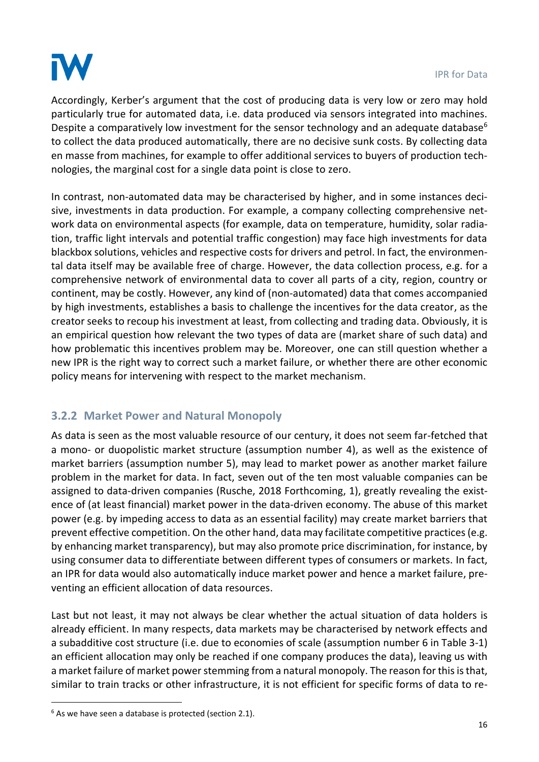

Accordingly, Kerber's argument that the cost of producing data is very low or zero may hold particularly true for automated data, i.e. data produced via sensors integrated into machines. Despite a comparatively low investment for the sensor technology and an adequate database<sup>6</sup> to collect the data produced automatically, there are no decisive sunk costs. By collecting data en masse from machines, for example to offer additional services to buyers of production technologies, the marginal cost for a single data point is close to zero.

In contrast, non-automated data may be characterised by higher, and in some instances decisive, investments in data production. For example, a company collecting comprehensive network data on environmental aspects (for example, data on temperature, humidity, solar radiation, traffic light intervals and potential traffic congestion) may face high investments for data blackbox solutions, vehicles and respective costs for drivers and petrol. In fact, the environmental data itself may be available free of charge. However, the data collection process, e.g. for a comprehensive network of environmental data to cover all parts of a city, region, country or continent, may be costly. However, any kind of (non-automated) data that comes accompanied by high investments, establishes a basis to challenge the incentives for the data creator, as the creator seeks to recoup his investment at least, from collecting and trading data. Obviously, it is an empirical question how relevant the two types of data are (market share of such data) and how problematic this incentives problem may be. Moreover, one can still question whether a new IPR is the right way to correct such a market failure, or whether there are other economic policy means for intervening with respect to the market mechanism.

# **3.2.2 Market Power and Natural Monopoly**

As data is seen as the most valuable resource of our century, it does not seem far-fetched that a mono- or duopolistic market structure (assumption number 4), as well as the existence of market barriers (assumption number 5), may lead to market power as another market failure problem in the market for data. In fact, seven out of the ten most valuable companies can be assigned to data-driven companies (Rusche, 2018 Forthcoming, 1), greatly revealing the existence of (at least financial) market power in the data-driven economy. The abuse of this market power (e.g. by impeding access to data as an essential facility) may create market barriers that prevent effective competition. On the other hand, data may facilitate competitive practices (e.g. by enhancing market transparency), but may also promote price discrimination, for instance, by using consumer data to differentiate between different types of consumers or markets. In fact, an IPR for data would also automatically induce market power and hence a market failure, preventing an efficient allocation of data resources.

Last but not least, it may not always be clear whether the actual situation of data holders is already efficient. In many respects, data markets may be characterised by network effects and a subadditive cost structure (i.e. due to economies of scale (assumption number 6 in Table 3-1) an efficient allocation may only be reached if one company produces the data), leaving us with a market failure of market power stemming from a natural monopoly. The reason for this is that, similar to train tracks or other infrastructure, it is not efficient for specific forms of data to re-

.

 $6$  As we have seen a database is protected (section 2.1).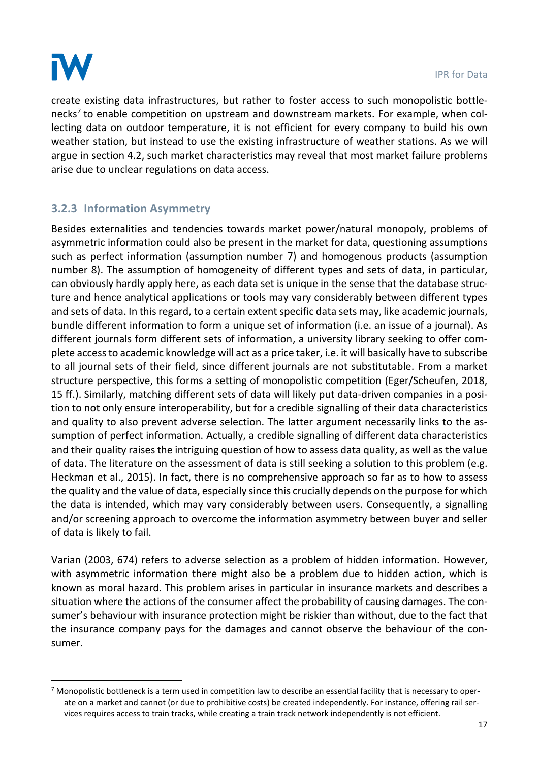

.

create existing data infrastructures, but rather to foster access to such monopolistic bottlenecks<sup>7</sup> to enable competition on upstream and downstream markets. For example, when collecting data on outdoor temperature, it is not efficient for every company to build his own weather station, but instead to use the existing infrastructure of weather stations. As we will argue in section 4.2, such market characteristics may reveal that most market failure problems arise due to unclear regulations on data access.

# <span id="page-17-0"></span>**3.2.3 Information Asymmetry**

Besides externalities and tendencies towards market power/natural monopoly, problems of asymmetric information could also be present in the market for data, questioning assumptions such as perfect information (assumption number 7) and homogenous products (assumption number 8). The assumption of homogeneity of different types and sets of data, in particular, can obviously hardly apply here, as each data set is unique in the sense that the database structure and hence analytical applications or tools may vary considerably between different types and sets of data. In this regard, to a certain extent specific data sets may, like academic journals, bundle different information to form a unique set of information (i.e. an issue of a journal). As different journals form different sets of information, a university library seeking to offer complete access to academic knowledge will act as a price taker, i.e. it will basically have to subscribe to all journal sets of their field, since different journals are not substitutable. From a market structure perspective, this forms a setting of monopolistic competition (Eger/Scheufen, 2018, 15 ff.). Similarly, matching different sets of data will likely put data-driven companies in a position to not only ensure interoperability, but for a credible signalling of their data characteristics and quality to also prevent adverse selection. The latter argument necessarily links to the assumption of perfect information. Actually, a credible signalling of different data characteristics and their quality raises the intriguing question of how to assess data quality, as well as the value of data. The literature on the assessment of data is still seeking a solution to this problem (e.g. Heckman et al., 2015). In fact, there is no comprehensive approach so far as to how to assess the quality and the value of data, especially since this crucially depends on the purpose for which the data is intended, which may vary considerably between users. Consequently, a signalling and/or screening approach to overcome the information asymmetry between buyer and seller of data is likely to fail.

Varian (2003, 674) refers to adverse selection as a problem of hidden information. However, with asymmetric information there might also be a problem due to hidden action, which is known as moral hazard. This problem arises in particular in insurance markets and describes a situation where the actions of the consumer affect the probability of causing damages. The consumer's behaviour with insurance protection might be riskier than without, due to the fact that the insurance company pays for the damages and cannot observe the behaviour of the consumer.

 $<sup>7</sup>$  Monopolistic bottleneck is a term used in competition law to describe an essential facility that is necessary to oper-</sup> ate on a market and cannot (or due to prohibitive costs) be created independently. For instance, offering rail services requires access to train tracks, while creating a train track network independently is not efficient.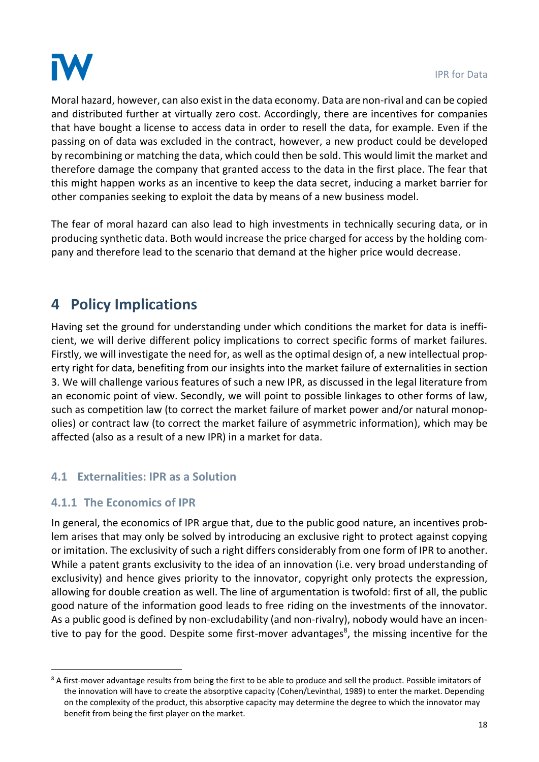

Moral hazard, however, can also exist in the data economy. Data are non-rival and can be copied and distributed further at virtually zero cost. Accordingly, there are incentives for companies that have bought a license to access data in order to resell the data, for example. Even if the passing on of data was excluded in the contract, however, a new product could be developed by recombining or matching the data, which could then be sold. This would limit the market and therefore damage the company that granted access to the data in the first place. The fear that this might happen works as an incentive to keep the data secret, inducing a market barrier for other companies seeking to exploit the data by means of a new business model.

The fear of moral hazard can also lead to high investments in technically securing data, or in producing synthetic data. Both would increase the price charged for access by the holding company and therefore lead to the scenario that demand at the higher price would decrease.

# **4 Policy Implications**

Having set the ground for understanding under which conditions the market for data is inefficient, we will derive different policy implications to correct specific forms of market failures. Firstly, we will investigate the need for, as well as the optimal design of, a new intellectual property right for data, benefiting from our insights into the market failure of externalities in section [3.](#page-11-1) We will challenge various features of such a new IPR, as discussed in the legal literature from an economic point of view. Secondly, we will point to possible linkages to other forms of law, such as competition law (to correct the market failure of market power and/or natural monopolies) or contract law (to correct the market failure of asymmetric information), which may be affected (also as a result of a new IPR) in a market for data.

### <span id="page-18-0"></span>**4.1 Externalities: IPR as a Solution**

### **4.1.1 The Economics of IPR**

1

In general, the economics of IPR argue that, due to the public good nature, an incentives problem arises that may only be solved by introducing an exclusive right to protect against copying or imitation. The exclusivity of such a right differs considerably from one form of IPR to another. While a patent grants exclusivity to the idea of an innovation (i.e. very broad understanding of exclusivity) and hence gives priority to the innovator, copyright only protects the expression, allowing for double creation as well. The line of argumentation is twofold: first of all, the public good nature of the information good leads to free riding on the investments of the innovator. As a public good is defined by non-excludability (and non-rivalry), nobody would have an incentive to pay for the good. Despite some first-mover advantages<sup>8</sup>, the missing incentive for the

<sup>&</sup>lt;sup>8</sup> A first-mover advantage results from being the first to be able to produce and sell the product. Possible imitators of the innovation will have to create the absorptive capacity (Cohen/Levinthal, 1989) to enter the market. Depending on the complexity of the product, this absorptive capacity may determine the degree to which the innovator may benefit from being the first player on the market.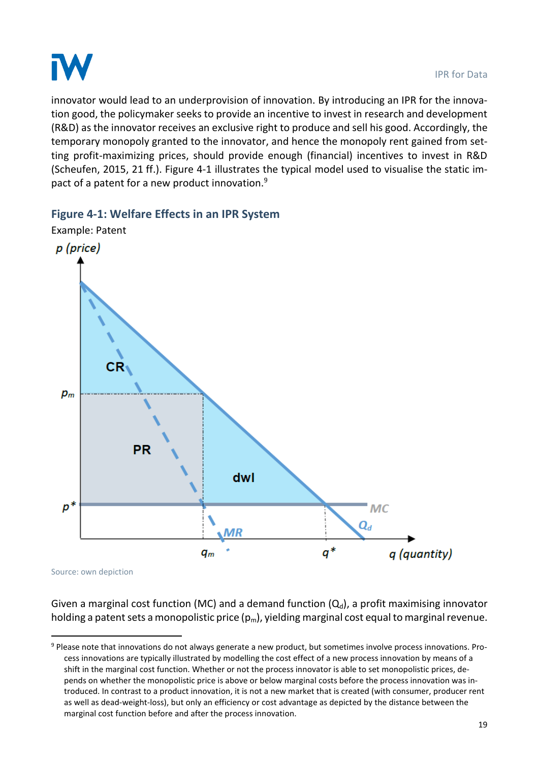

innovator would lead to an underprovision of innovation. By introducing an IPR for the innovation good, the policymaker seeks to provide an incentive to invest in research and development (R&D) as the innovator receives an exclusive right to produce and sell his good. Accordingly, the temporary monopoly granted to the innovator, and hence the monopoly rent gained from setting profit-maximizing prices, should provide enough (financial) incentives to invest in R&D (Scheufen, 2015, 21 ff.). [Figure 4-1](#page-19-0) illustrates the typical model used to visualise the static impact of a patent for a new product innovation.<sup>9</sup>

### <span id="page-19-0"></span>**Figure 4-1: Welfare Effects in an IPR System**



Source: own depiction

1

Given a marginal cost function (MC) and a demand function  $(Q_d)$ , a profit maximising innovator holding a patent sets a monopolistic price  $(p_m)$ , yielding marginal cost equal to marginal revenue.

<sup>9</sup> Please note that innovations do not always generate a new product, but sometimes involve process innovations. Process innovations are typically illustrated by modelling the cost effect of a new process innovation by means of a shift in the marginal cost function. Whether or not the process innovator is able to set monopolistic prices, depends on whether the monopolistic price is above or below marginal costs before the process innovation was introduced. In contrast to a product innovation, it is not a new market that is created (with consumer, producer rent as well as dead-weight-loss), but only an efficiency or cost advantage as depicted by the distance between the marginal cost function before and after the process innovation.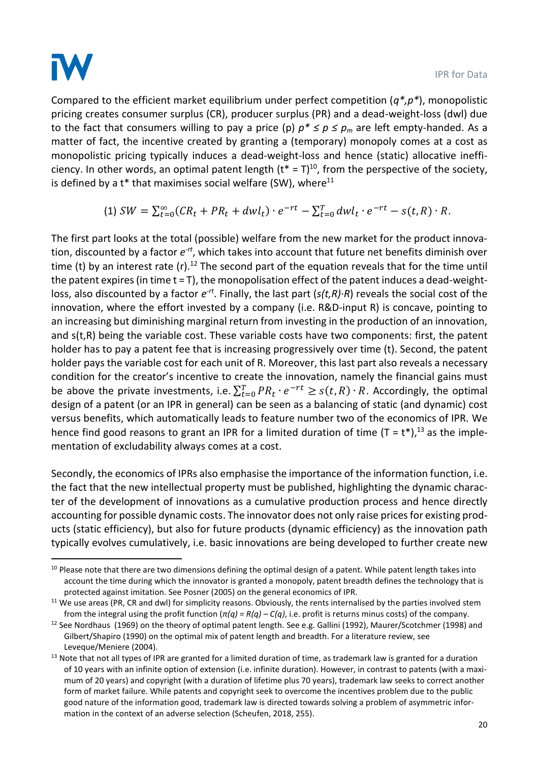

1

Compared to the efficient market equilibrium under perfect competition (*q\*,p\**), monopolistic pricing creates consumer surplus (CR), producer surplus (PR) and a dead-weight-loss (dwl) due to the fact that consumers willing to pay a price (p)  $p^* \le p \le p_m$  are left empty-handed. As a matter of fact, the incentive created by granting a (temporary) monopoly comes at a cost as monopolistic pricing typically induces a dead-weight-loss and hence (static) allocative inefficiency. In other words, an optimal patent length  $(t^* = T)^{10}$ , from the perspective of the society, is defined by a  $t^*$  that maximises social welfare (SW), where<sup>11</sup>

(1) 
$$
SW = \sum_{t=0}^{\infty} (CR_t + PR_t + dw l_t) \cdot e^{-rt} - \sum_{t=0}^{T} dw l_t \cdot e^{-rt} - s(t, R) \cdot R
$$
.

The first part looks at the total (possible) welfare from the new market for the product innovation, discounted by a factor  $e^{-rt}$ , which takes into account that future net benefits diminish over time (t) by an interest rate  $(r)$ .<sup>12</sup> The second part of the equation reveals that for the time until the patent expires (in time  $t = T$ ), the monopolisation effect of the patent induces a dead-weightloss, also discounted by a factor  $e^{-rt}$ . Finally, the last part (s(t,R)*⋅R*) reveals the social cost of the innovation, where the effort invested by a company (i.e. R&D-input R) is concave, pointing to an increasing but diminishing marginal return from investing in the production of an innovation, and s(t,R) being the variable cost. These variable costs have two components: first, the patent holder has to pay a patent fee that is increasing progressively over time (t). Second, the patent holder pays the variable cost for each unit of R. Moreover, this last part also reveals a necessary condition for the creator's incentive to create the innovation, namely the financial gains must be above the private investments, i.e.  $\sum_{t=0}^{T} PR_t \cdot e^{-rt} \geq s(t,R) \cdot R$ . Accordingly, the optimal design of a patent (or an IPR in general) can be seen as a balancing of static (and dynamic) cost versus benefits, which automatically leads to feature number two of the economics of IPR. We hence find good reasons to grant an IPR for a limited duration of time  $(T = t^*)$ , <sup>13</sup> as the implementation of excludability always comes at a cost.

Secondly, the economics of IPRs also emphasise the importance of the information function, i.e. the fact that the new intellectual property must be published, highlighting the dynamic character of the development of innovations as a cumulative production process and hence directly accounting for possible dynamic costs. The innovator does not only raise prices for existing products (static efficiency), but also for future products (dynamic efficiency) as the innovation path typically evolves cumulatively, i.e. basic innovations are being developed to further create new

<sup>&</sup>lt;sup>10</sup> Please note that there are two dimensions defining the optimal design of a patent. While patent length takes into account the time during which the innovator is granted a monopoly, patent breadth defines the technology that is protected against imitation. See Posner (2005) on the general economics of IPR.

<sup>&</sup>lt;sup>11</sup> We use areas (PR, CR and dwl) for simplicity reasons. Obviously, the rents internalised by the parties involved stem from the integral using the profit function (*π(q) = R(q) – C(q)*, i.e. profit is returns minus costs) of the company.

<sup>&</sup>lt;sup>12</sup> See Nordhaus (1969) on the theory of optimal patent length. See e.g. Gallini (1992), Maurer/Scotchmer (1998) and Gilbert/Shapiro (1990) on the optimal mix of patent length and breadth. For a literature review, see Leveque/Meniere (2004).

 $13$  Note that not all types of IPR are granted for a limited duration of time, as trademark law is granted for a duration of 10 years with an infinite option of extension (i.e. infinite duration). However, in contrast to patents (with a maximum of 20 years) and copyright (with a duration of lifetime plus 70 years), trademark law seeks to correct another form of market failure. While patents and copyright seek to overcome the incentives problem due to the public good nature of the information good, trademark law is directed towards solving a problem of asymmetric information in the context of an adverse selection (Scheufen, 2018, 255).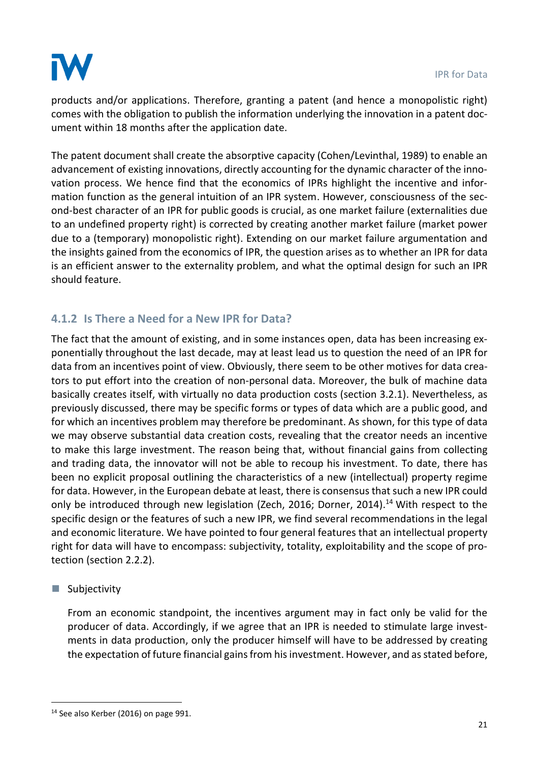

products and/or applications. Therefore, granting a patent (and hence a monopolistic right) comes with the obligation to publish the information underlying the innovation in a patent document within 18 months after the application date.

The patent document shall create the absorptive capacity (Cohen/Levinthal, 1989) to enable an advancement of existing innovations, directly accounting for the dynamic character of the innovation process. We hence find that the economics of IPRs highlight the incentive and information function as the general intuition of an IPR system. However, consciousness of the second-best character of an IPR for public goods is crucial, as one market failure (externalities due to an undefined property right) is corrected by creating another market failure (market power due to a (temporary) monopolistic right). Extending on our market failure argumentation and the insights gained from the economics of IPR, the question arises as to whether an IPR for data is an efficient answer to the externality problem, and what the optimal design for such an IPR should feature.

# **4.1.2 Is There a Need for a New IPR for Data?**

The fact that the amount of existing, and in some instances open, data has been increasing exponentially throughout the last decade, may at least lead us to question the need of an IPR for data from an incentives point of view. Obviously, there seem to be other motives for data creators to put effort into the creation of non-personal data. Moreover, the bulk of machine data basically creates itself, with virtually no data production costs (section 3.2.1). Nevertheless, as previously discussed, there may be specific forms or types of data which are a public good, and for which an incentives problem may therefore be predominant. As shown, for this type of data we may observe substantial data creation costs, revealing that the creator needs an incentive to make this large investment. The reason being that, without financial gains from collecting and trading data, the innovator will not be able to recoup his investment. To date, there has been no explicit proposal outlining the characteristics of a new (intellectual) property regime for data. However, in the European debate at least, there is consensus that such a new IPR could only be introduced through new legislation (Zech, 2016; Dorner, 2014).<sup>14</sup> With respect to the specific design or the features of such a new IPR, we find several recommendations in the legal and economic literature. We have pointed to four general features that an intellectual property right for data will have to encompass: subjectivity, totality, exploitability and the scope of protection (section [2.2.2\)](#page-9-0).

### ■ Subjectivity

.

From an economic standpoint, the incentives argument may in fact only be valid for the producer of data. Accordingly, if we agree that an IPR is needed to stimulate large investments in data production, only the producer himself will have to be addressed by creating the expectation of future financial gains from his investment. However, and as stated before,

<sup>&</sup>lt;sup>14</sup> See also Kerber (2016) on page 991.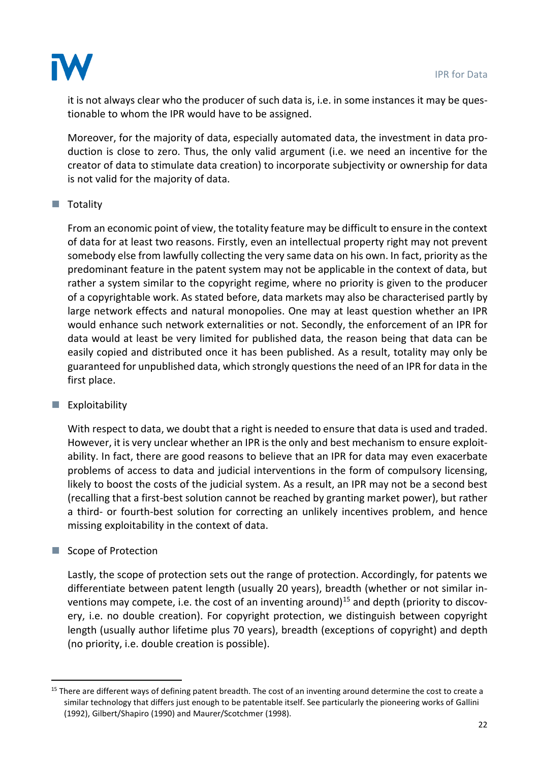

it is not always clear who the producer of such data is, i.e. in some instances it may be questionable to whom the IPR would have to be assigned.

Moreover, for the majority of data, especially automated data, the investment in data production is close to zero. Thus, the only valid argument (i.e. we need an incentive for the creator of data to stimulate data creation) to incorporate subjectivity or ownership for data is not valid for the majority of data.

### ■ Totality

From an economic point of view, the totality feature may be difficult to ensure in the context of data for at least two reasons. Firstly, even an intellectual property right may not prevent somebody else from lawfully collecting the very same data on his own. In fact, priority as the predominant feature in the patent system may not be applicable in the context of data, but rather a system similar to the copyright regime, where no priority is given to the producer of a copyrightable work. As stated before, data markets may also be characterised partly by large network effects and natural monopolies. One may at least question whether an IPR would enhance such network externalities or not. Secondly, the enforcement of an IPR for data would at least be very limited for published data, the reason being that data can be easily copied and distributed once it has been published. As a result, totality may only be guaranteed for unpublished data, which strongly questions the need of an IPR for data in the first place.

### $\blacksquare$  Exploitability

With respect to data, we doubt that a right is needed to ensure that data is used and traded. However, it is very unclear whether an IPR is the only and best mechanism to ensure exploitability. In fact, there are good reasons to believe that an IPR for data may even exacerbate problems of access to data and judicial interventions in the form of compulsory licensing, likely to boost the costs of the judicial system. As a result, an IPR may not be a second best (recalling that a first-best solution cannot be reached by granting market power), but rather a third- or fourth-best solution for correcting an unlikely incentives problem, and hence missing exploitability in the context of data.

### ■ Scope of Protection

.

Lastly, the scope of protection sets out the range of protection. Accordingly, for patents we differentiate between patent length (usually 20 years), breadth (whether or not similar inventions may compete, i.e. the cost of an inventing around)<sup>15</sup> and depth (priority to discovery, i.e. no double creation). For copyright protection, we distinguish between copyright length (usually author lifetime plus 70 years), breadth (exceptions of copyright) and depth (no priority, i.e. double creation is possible).

<sup>&</sup>lt;sup>15</sup> There are different ways of defining patent breadth. The cost of an inventing around determine the cost to create a similar technology that differs just enough to be patentable itself. See particularly the pioneering works of Gallini (1992), Gilbert/Shapiro (1990) and Maurer/Scotchmer (1998).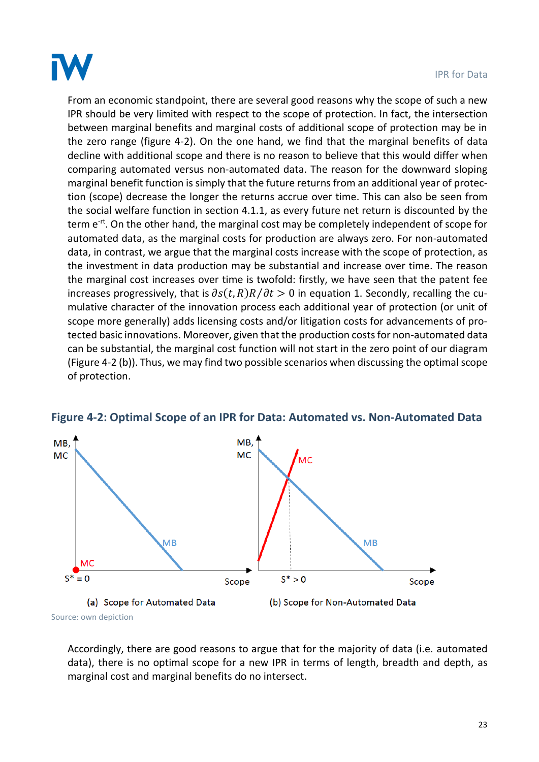

From an economic standpoint, there are several good reasons why the scope of such a new IPR should be very limited with respect to the scope of protection. In fact, the intersection between marginal benefits and marginal costs of additional scope of protection may be in the zero range (figure 4-2). On the one hand, we find that the marginal benefits of data decline with additional scope and there is no reason to believe that this would differ when comparing automated versus non-automated data. The reason for the downward sloping marginal benefit function is simply that the future returns from an additional year of protection (scope) decrease the longer the returns accrue over time. This can also be seen from the social welfare function in section 4.1.1, as every future net return is discounted by the term e<sup>-rt</sup>. On the other hand, the marginal cost may be completely independent of scope for automated data, as the marginal costs for production are always zero. For non-automated data, in contrast, we argue that the marginal costs increase with the scope of protection, as the investment in data production may be substantial and increase over time. The reason the marginal cost increases over time is twofold: firstly, we have seen that the patent fee increases progressively, that is  $\partial s(t, R)R/\partial t > 0$  in equation 1. Secondly, recalling the cumulative character of the innovation process each additional year of protection (or unit of scope more generally) adds licensing costs and/or litigation costs for advancements of protected basic innovations. Moreover, given that the production costsfor non-automated data can be substantial, the marginal cost function will not start in the zero point of our diagram (Figure 4-2 (b)). Thus, we may find two possible scenarios when discussing the optimal scope of protection.



### **Figure 4-2: Optimal Scope of an IPR for Data: Automated vs. Non-Automated Data**

Accordingly, there are good reasons to argue that for the majority of data (i.e. automated data), there is no optimal scope for a new IPR in terms of length, breadth and depth, as marginal cost and marginal benefits do no intersect.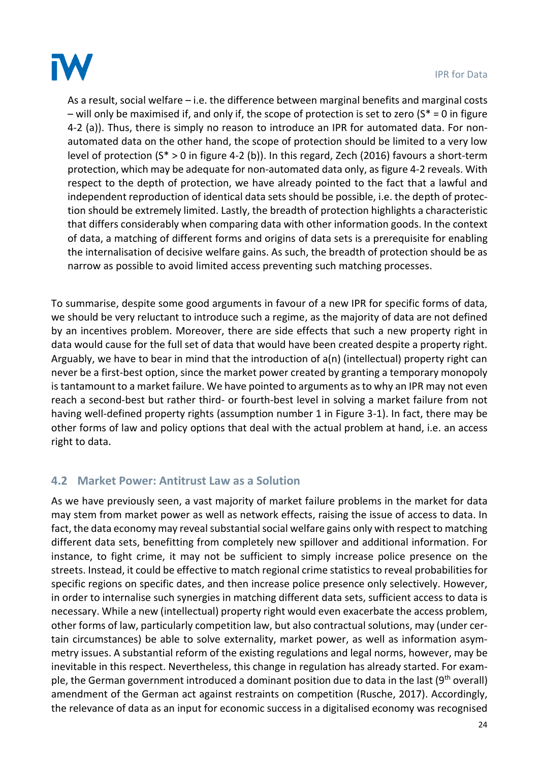

As a result, social welfare – i.e. the difference between marginal benefits and marginal costs – will only be maximised if, and only if, the scope of protection is set to zero  $(S^* = 0$  in figure 4-2 (a)). Thus, there is simply no reason to introduce an IPR for automated data. For nonautomated data on the other hand, the scope of protection should be limited to a very low level of protection (S\* > 0 in figure 4-2 (b)). In this regard, Zech (2016) favours a short-term protection, which may be adequate for non-automated data only, as figure 4-2 reveals. With respect to the depth of protection, we have already pointed to the fact that a lawful and independent reproduction of identical data sets should be possible, i.e. the depth of protection should be extremely limited. Lastly, the breadth of protection highlights a characteristic that differs considerably when comparing data with other information goods. In the context of data, a matching of different forms and origins of data sets is a prerequisite for enabling the internalisation of decisive welfare gains. As such, the breadth of protection should be as narrow as possible to avoid limited access preventing such matching processes.

To summarise, despite some good arguments in favour of a new IPR for specific forms of data, we should be very reluctant to introduce such a regime, as the majority of data are not defined by an incentives problem. Moreover, there are side effects that such a new property right in data would cause for the full set of data that would have been created despite a property right. Arguably, we have to bear in mind that the introduction of a(n) (intellectual) property right can never be a first-best option, since the market power created by granting a temporary monopoly is tantamount to a market failure. We have pointed to arguments as to why an IPR may not even reach a second-best but rather third- or fourth-best level in solving a market failure from not having well-defined property rights (assumption number 1 in Figure 3-1). In fact, there may be other forms of law and policy options that deal with the actual problem at hand, i.e. an access right to data.

### **4.2 Market Power: Antitrust Law as a Solution**

As we have previously seen, a vast majority of market failure problems in the market for data may stem from market power as well as network effects, raising the issue of access to data. In fact, the data economy may reveal substantial social welfare gains only with respect to matching different data sets, benefitting from completely new spillover and additional information. For instance, to fight crime, it may not be sufficient to simply increase police presence on the streets. Instead, it could be effective to match regional crime statistics to reveal probabilities for specific regions on specific dates, and then increase police presence only selectively. However, in order to internalise such synergies in matching different data sets, sufficient access to data is necessary. While a new (intellectual) property right would even exacerbate the access problem, other forms of law, particularly competition law, but also contractual solutions, may (under certain circumstances) be able to solve externality, market power, as well as information asymmetry issues. A substantial reform of the existing regulations and legal norms, however, may be inevitable in this respect. Nevertheless, this change in regulation has already started. For example, the German government introduced a dominant position due to data in the last  $(9<sup>th</sup>$  overall) amendment of the German act against restraints on competition (Rusche, 2017). Accordingly, the relevance of data as an input for economic success in a digitalised economy was recognised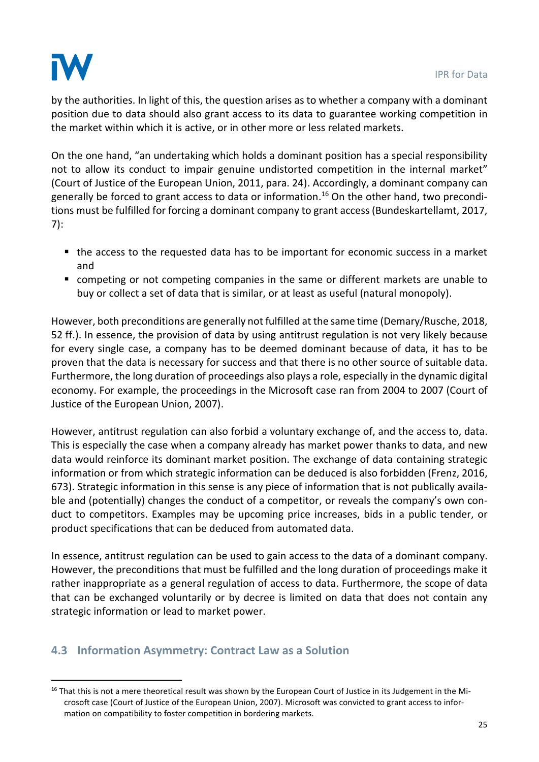

.

by the authorities. In light of this, the question arises as to whether a company with a dominant position due to data should also grant access to its data to guarantee working competition in the market within which it is active, or in other more or less related markets.

On the one hand, "an undertaking which holds a dominant position has a special responsibility not to allow its conduct to impair genuine undistorted competition in the internal market" (Court of Justice of the European Union, 2011, para. 24). Accordingly, a dominant company can generally be forced to grant access to data or information.<sup>16</sup> On the other hand, two preconditions must be fulfilled for forcing a dominant company to grant access (Bundeskartellamt, 2017, 7):

- the access to the requested data has to be important for economic success in a market and
- competing or not competing companies in the same or different markets are unable to buy or collect a set of data that is similar, or at least as useful (natural monopoly).

However, both preconditions are generally not fulfilled at the same time (Demary/Rusche, 2018, 52 ff.). In essence, the provision of data by using antitrust regulation is not very likely because for every single case, a company has to be deemed dominant because of data, it has to be proven that the data is necessary for success and that there is no other source of suitable data. Furthermore, the long duration of proceedings also plays a role, especially in the dynamic digital economy. For example, the proceedings in the Microsoft case ran from 2004 to 2007 (Court of Justice of the European Union, 2007).

However, antitrust regulation can also forbid a voluntary exchange of, and the access to, data. This is especially the case when a company already has market power thanks to data, and new data would reinforce its dominant market position. The exchange of data containing strategic information or from which strategic information can be deduced is also forbidden (Frenz, 2016, 673). Strategic information in this sense is any piece of information that is not publically available and (potentially) changes the conduct of a competitor, or reveals the company's own conduct to competitors. Examples may be upcoming price increases, bids in a public tender, or product specifications that can be deduced from automated data.

In essence, antitrust regulation can be used to gain access to the data of a dominant company. However, the preconditions that must be fulfilled and the long duration of proceedings make it rather inappropriate as a general regulation of access to data. Furthermore, the scope of data that can be exchanged voluntarily or by decree is limited on data that does not contain any strategic information or lead to market power.

### **4.3 Information Asymmetry: Contract Law as a Solution**

 $16$  That this is not a mere theoretical result was shown by the European Court of Justice in its Judgement in the Microsoft case (Court of Justice of the European Union, 2007). Microsoft was convicted to grant access to information on compatibility to foster competition in bordering markets.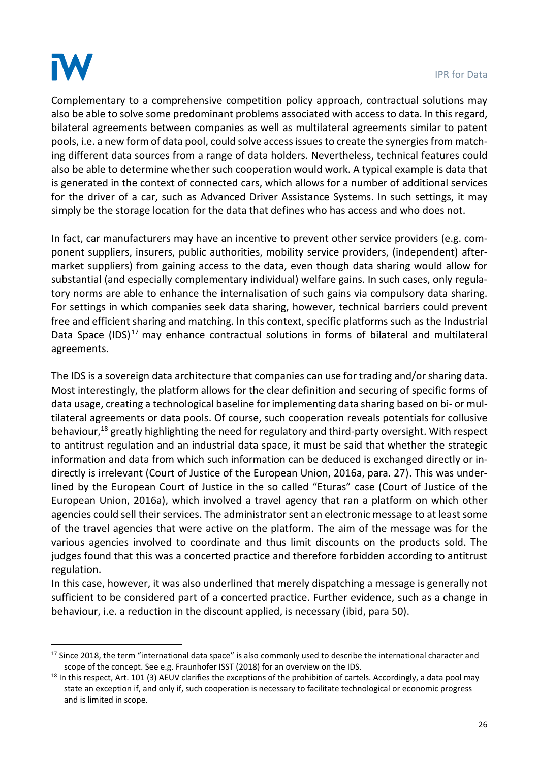

.

Complementary to a comprehensive competition policy approach, contractual solutions may also be able to solve some predominant problems associated with access to data. In this regard, bilateral agreements between companies as well as multilateral agreements similar to patent pools, i.e. a new form of data pool, could solve access issues to create the synergies from matching different data sources from a range of data holders. Nevertheless, technical features could also be able to determine whether such cooperation would work. A typical example is data that is generated in the context of connected cars, which allows for a number of additional services for the driver of a car, such as Advanced Driver Assistance Systems. In such settings, it may simply be the storage location for the data that defines who has access and who does not.

In fact, car manufacturers may have an incentive to prevent other service providers (e.g. component suppliers, insurers, public authorities, mobility service providers, (independent) aftermarket suppliers) from gaining access to the data, even though data sharing would allow for substantial (and especially complementary individual) welfare gains. In such cases, only regulatory norms are able to enhance the internalisation of such gains via compulsory data sharing. For settings in which companies seek data sharing, however, technical barriers could prevent free and efficient sharing and matching. In this context, specific platforms such as the Industrial Data Space  $(IDS)^{17}$  may enhance contractual solutions in forms of bilateral and multilateral agreements.

The IDS is a sovereign data architecture that companies can use for trading and/or sharing data. Most interestingly, the platform allows for the clear definition and securing of specific forms of data usage, creating a technological baseline for implementing data sharing based on bi- or multilateral agreements or data pools. Of course, such cooperation reveals potentials for collusive behaviour,<sup>18</sup> greatly highlighting the need for regulatory and third-party oversight. With respect to antitrust regulation and an industrial data space, it must be said that whether the strategic information and data from which such information can be deduced is exchanged directly or indirectly is irrelevant (Court of Justice of the European Union, 2016a, para. 27). This was underlined by the European Court of Justice in the so called "Eturas" case (Court of Justice of the European Union, 2016a), which involved a travel agency that ran a platform on which other agencies could sell their services. The administrator sent an electronic message to at least some of the travel agencies that were active on the platform. The aim of the message was for the various agencies involved to coordinate and thus limit discounts on the products sold. The judges found that this was a concerted practice and therefore forbidden according to antitrust regulation.

In this case, however, it was also underlined that merely dispatching a message is generally not sufficient to be considered part of a concerted practice. Further evidence, such as a change in behaviour, i.e. a reduction in the discount applied, is necessary (ibid, para 50).

<sup>&</sup>lt;sup>17</sup> Since 2018, the term "international data space" is also commonly used to describe the international character and scope of the concept. See e.g. Fraunhofer ISST (2018) for an overview on the IDS.

<sup>&</sup>lt;sup>18</sup> In this respect, Art. 101 (3) AEUV clarifies the exceptions of the prohibition of cartels. Accordingly, a data pool may state an exception if, and only if, such cooperation is necessary to facilitate technological or economic progress and is limited in scope.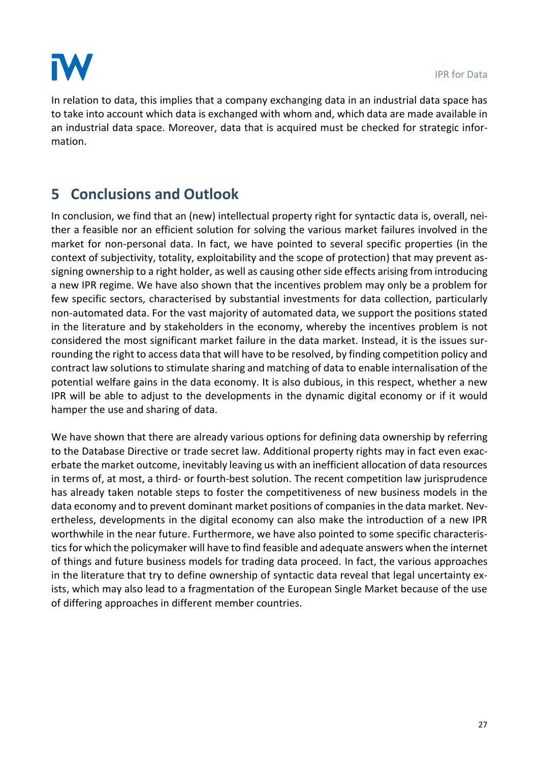

In relation to data, this implies that a company exchanging data in an industrial data space has to take into account which data is exchanged with whom and, which data are made available in an industrial data space. Moreover, data that is acquired must be checked for strategic information.

# **5 Conclusions and Outlook**

In conclusion, we find that an (new) intellectual property right for syntactic data is, overall, neither a feasible nor an efficient solution for solving the various market failures involved in the market for non-personal data. In fact, we have pointed to several specific properties (in the context of subjectivity, totality, exploitability and the scope of protection) that may prevent assigning ownership to a right holder, as well as causing other side effects arising from introducing a new IPR regime. We have also shown that the incentives problem may only be a problem for few specific sectors, characterised by substantial investments for data collection, particularly non-automated data. For the vast majority of automated data, we support the positions stated in the literature and by stakeholders in the economy, whereby the incentives problem is not considered the most significant market failure in the data market. Instead, it is the issues surrounding the right to access data that will have to be resolved, by finding competition policy and contract law solutions to stimulate sharing and matching of data to enable internalisation of the potential welfare gains in the data economy. It is also dubious, in this respect, whether a new IPR will be able to adjust to the developments in the dynamic digital economy or if it would hamper the use and sharing of data.

We have shown that there are already various options for defining data ownership by referring to the Database Directive or trade secret law. Additional property rights may in fact even exacerbate the market outcome, inevitably leaving us with an inefficient allocation of data resources in terms of, at most, a third- or fourth-best solution. The recent competition law jurisprudence has already taken notable steps to foster the competitiveness of new business models in the data economy and to prevent dominant market positions of companies in the data market. Nevertheless, developments in the digital economy can also make the introduction of a new IPR worthwhile in the near future. Furthermore, we have also pointed to some specific characteristics for which the policymaker will have to find feasible and adequate answers when the internet of things and future business models for trading data proceed. In fact, the various approaches in the literature that try to define ownership of syntactic data reveal that legal uncertainty exists, which may also lead to a fragmentation of the European Single Market because of the use of differing approaches in different member countries.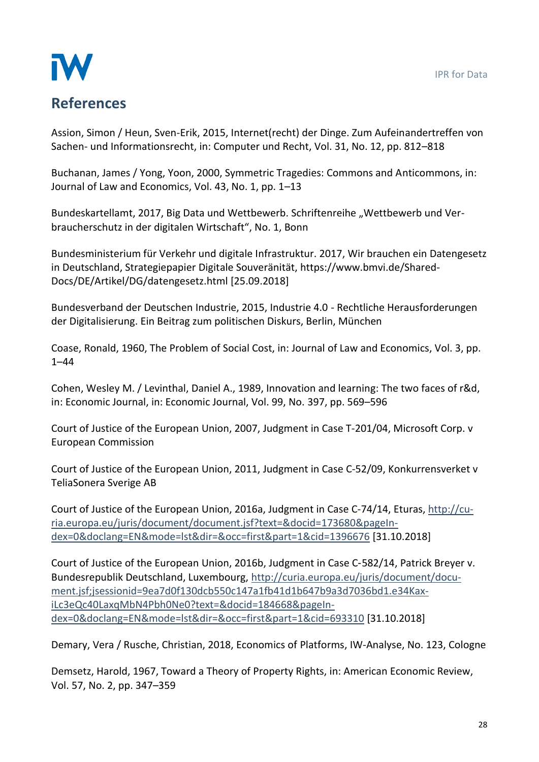

# **References**

Assion, Simon / Heun, Sven-Erik, 2015, Internet(recht) der Dinge. Zum Aufeinandertreffen von Sachen- und Informationsrecht, in: Computer und Recht, Vol. 31, No. 12, pp. 812–818

Buchanan, James / Yong, Yoon, 2000, Symmetric Tragedies: Commons and Anticommons, in: Journal of Law and Economics, Vol. 43, No. 1, pp. 1–13

Bundeskartellamt, 2017, Big Data und Wettbewerb. Schriftenreihe "Wettbewerb und Verbraucherschutz in der digitalen Wirtschaft", No. 1, Bonn

Bundesministerium für Verkehr und digitale Infrastruktur. 2017, Wir brauchen ein Datengesetz in Deutschland, Strategiepapier Digitale Souveränität, https://www.bmvi.de/Shared-Docs/DE/Artikel/DG/datengesetz.html [25.09.2018]

Bundesverband der Deutschen Industrie, 2015, Industrie 4.0 - Rechtliche Herausforderungen der Digitalisierung. Ein Beitrag zum politischen Diskurs, Berlin, München

Coase, Ronald, 1960, The Problem of Social Cost, in: Journal of Law and Economics, Vol. 3, pp. 1–44

Cohen, Wesley M. / Levinthal, Daniel A., 1989, Innovation and learning: The two faces of r&d, in: Economic Journal, in: Economic Journal, Vol. 99, No. 397, pp. 569–596

Court of Justice of the European Union, 2007, Judgment in Case T-201/04, Microsoft Corp. v European Commission

Court of Justice of the European Union, 2011, Judgment in Case C-52/09, Konkurrensverket v TeliaSonera Sverige AB

Court of Justice of the European Union, 2016a, Judgment in Case C-74/14, Eturas, [http://cu](http://curia.europa.eu/juris/document/document.jsf?text=&docid=173680&pageIndex=0&doclang=EN&mode=lst&dir=&occ=first&part=1&cid=1396676)[ria.europa.eu/juris/document/document.jsf?text=&docid=173680&pageIn](http://curia.europa.eu/juris/document/document.jsf?text=&docid=173680&pageIndex=0&doclang=EN&mode=lst&dir=&occ=first&part=1&cid=1396676)[dex=0&doclang=EN&mode=lst&dir=&occ=first&part=1&cid=1396676](http://curia.europa.eu/juris/document/document.jsf?text=&docid=173680&pageIndex=0&doclang=EN&mode=lst&dir=&occ=first&part=1&cid=1396676) [31.10.2018]

Court of Justice of the European Union, 2016b, Judgment in Case C‑582/14, Patrick Breyer v. Bundesrepublik Deutschland, Luxembourg, [http://curia.europa.eu/juris/document/docu](http://curia.europa.eu/juris/document/document.jsf;jsessionid=9ea7d0f130dcb550c147a1fb41d1b647b9a3d7036bd1.e34KaxiLc3eQc40LaxqMbN4Pbh0Ne0?text=&docid=184668&pageIndex=0&doclang=EN&mode=lst&dir=&occ=first&part=1&cid=693310)[ment.jsf;jsessionid=9ea7d0f130dcb550c147a1fb41d1b647b9a3d7036bd1.e34Kax](http://curia.europa.eu/juris/document/document.jsf;jsessionid=9ea7d0f130dcb550c147a1fb41d1b647b9a3d7036bd1.e34KaxiLc3eQc40LaxqMbN4Pbh0Ne0?text=&docid=184668&pageIndex=0&doclang=EN&mode=lst&dir=&occ=first&part=1&cid=693310)[iLc3eQc40LaxqMbN4Pbh0Ne0?text=&docid=184668&pageIn](http://curia.europa.eu/juris/document/document.jsf;jsessionid=9ea7d0f130dcb550c147a1fb41d1b647b9a3d7036bd1.e34KaxiLc3eQc40LaxqMbN4Pbh0Ne0?text=&docid=184668&pageIndex=0&doclang=EN&mode=lst&dir=&occ=first&part=1&cid=693310)[dex=0&doclang=EN&mode=lst&dir=&occ=first&part=1&cid=693310](http://curia.europa.eu/juris/document/document.jsf;jsessionid=9ea7d0f130dcb550c147a1fb41d1b647b9a3d7036bd1.e34KaxiLc3eQc40LaxqMbN4Pbh0Ne0?text=&docid=184668&pageIndex=0&doclang=EN&mode=lst&dir=&occ=first&part=1&cid=693310) [31.10.2018]

Demary, Vera / Rusche, Christian, 2018, Economics of Platforms, IW-Analyse, No. 123, Cologne

Demsetz, Harold, 1967, Toward a Theory of Property Rights, in: American Economic Review, Vol. 57, No. 2, pp. 347–359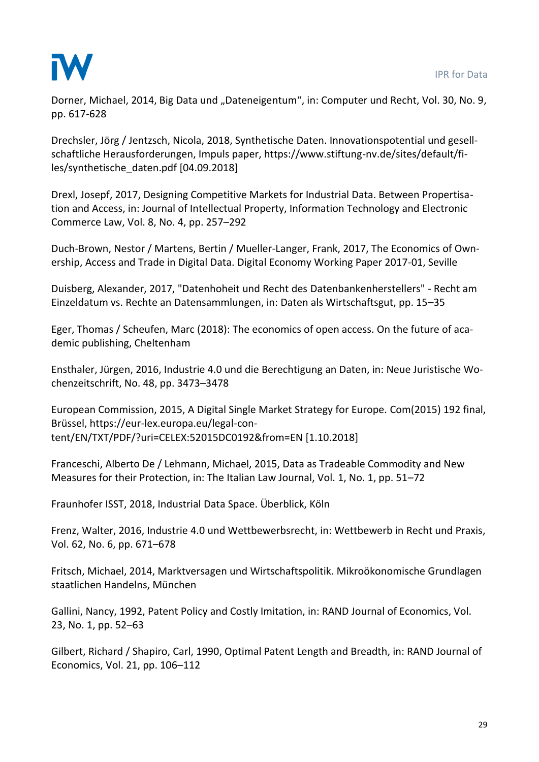

Dorner, Michael, 2014, Big Data und "Dateneigentum", in: Computer und Recht, Vol. 30, No. 9, pp. 617-628

Drechsler, Jörg / Jentzsch, Nicola, 2018, Synthetische Daten. Innovationspotential und gesellschaftliche Herausforderungen, Impuls paper, https://www.stiftung-nv.de/sites/default/files/synthetische\_daten.pdf [04.09.2018]

Drexl, Josepf, 2017, Designing Competitive Markets for Industrial Data. Between Propertisation and Access, in: Journal of Intellectual Property, Information Technology and Electronic Commerce Law, Vol. 8, No. 4, pp. 257–292

Duch-Brown, Nestor / Martens, Bertin / Mueller-Langer, Frank, 2017, The Economics of Ownership, Access and Trade in Digital Data. Digital Economy Working Paper 2017-01, Seville

Duisberg, Alexander, 2017, "Datenhoheit und Recht des Datenbankenherstellers" - Recht am Einzeldatum vs. Rechte an Datensammlungen, in: Daten als Wirtschaftsgut, pp. 15–35

Eger, Thomas / Scheufen, Marc (2018): The economics of open access. On the future of academic publishing, Cheltenham

Ensthaler, Jürgen, 2016, Industrie 4.0 und die Berechtigung an Daten, in: Neue Juristische Wochenzeitschrift, No. 48, pp. 3473–3478

European Commission, 2015, A Digital Single Market Strategy for Europe. Com(2015) 192 final, Brüssel, https://eur-lex.europa.eu/legal-content/EN/TXT/PDF/?uri=CELEX:52015DC0192&from=EN [1.10.2018]

Franceschi, Alberto De / Lehmann, Michael, 2015, Data as Tradeable Commodity and New Measures for their Protection, in: The Italian Law Journal, Vol. 1, No. 1, pp. 51–72

Fraunhofer ISST, 2018, Industrial Data Space. Überblick, Köln

Frenz, Walter, 2016, Industrie 4.0 und Wettbewerbsrecht, in: Wettbewerb in Recht und Praxis, Vol. 62, No. 6, pp. 671–678

Fritsch, Michael, 2014, Marktversagen und Wirtschaftspolitik. Mikroökonomische Grundlagen staatlichen Handelns, München

Gallini, Nancy, 1992, Patent Policy and Costly Imitation, in: RAND Journal of Economics, Vol. 23, No. 1, pp. 52–63

Gilbert, Richard / Shapiro, Carl, 1990, Optimal Patent Length and Breadth, in: RAND Journal of Economics, Vol. 21, pp. 106–112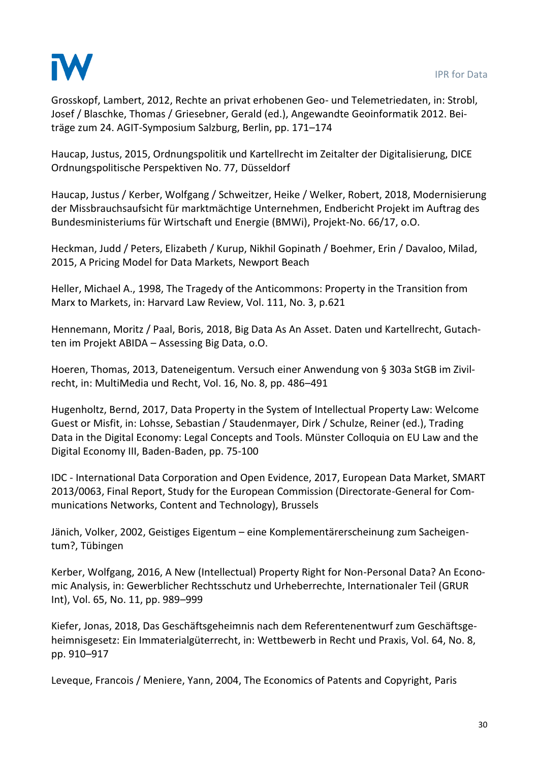

Grosskopf, Lambert, 2012, Rechte an privat erhobenen Geo- und Telemetriedaten, in: Strobl, Josef / Blaschke, Thomas / Griesebner, Gerald (ed.), Angewandte Geoinformatik 2012. Beiträge zum 24. AGIT-Symposium Salzburg, Berlin, pp. 171–174

Haucap, Justus, 2015, Ordnungspolitik und Kartellrecht im Zeitalter der Digitalisierung, DICE Ordnungspolitische Perspektiven No. 77, Düsseldorf

Haucap, Justus / Kerber, Wolfgang / Schweitzer, Heike / Welker, Robert, 2018, Modernisierung der Missbrauchsaufsicht für marktmächtige Unternehmen, Endbericht Projekt im Auftrag des Bundesministeriums für Wirtschaft und Energie (BMWi), Projekt-No. 66/17, o.O.

Heckman, Judd / Peters, Elizabeth / Kurup, Nikhil Gopinath / Boehmer, Erin / Davaloo, Milad, 2015, A Pricing Model for Data Markets, Newport Beach

Heller, Michael A., 1998, The Tragedy of the Anticommons: Property in the Transition from Marx to Markets, in: Harvard Law Review, Vol. 111, No. 3, p.621

Hennemann, Moritz / Paal, Boris, 2018, Big Data As An Asset. Daten und Kartellrecht, Gutachten im Projekt ABIDA – Assessing Big Data, o.O.

Hoeren, Thomas, 2013, Dateneigentum. Versuch einer Anwendung von § 303a StGB im Zivilrecht, in: MultiMedia und Recht, Vol. 16, No. 8, pp. 486–491

Hugenholtz, Bernd, 2017, Data Property in the System of Intellectual Property Law: Welcome Guest or Misfit, in: Lohsse, Sebastian / Staudenmayer, Dirk / Schulze, Reiner (ed.), Trading Data in the Digital Economy: Legal Concepts and Tools. Münster Colloquia on EU Law and the Digital Economy III, Baden-Baden, pp. 75-100

IDC - International Data Corporation and Open Evidence, 2017, European Data Market, SMART 2013/0063, Final Report, Study for the European Commission (Directorate-General for Communications Networks, Content and Technology), Brussels

Jänich, Volker, 2002, Geistiges Eigentum – eine Komplementärerscheinung zum Sacheigentum?, Tübingen

Kerber, Wolfgang, 2016, A New (Intellectual) Property Right for Non-Personal Data? An Economic Analysis, in: Gewerblicher Rechtsschutz und Urheberrechte, Internationaler Teil (GRUR Int), Vol. 65, No. 11, pp. 989–999

Kiefer, Jonas, 2018, Das Geschäftsgeheimnis nach dem Referentenentwurf zum Geschäftsgeheimnisgesetz: Ein Immaterialgüterrecht, in: Wettbewerb in Recht und Praxis, Vol. 64, No. 8, pp. 910–917

Leveque, Francois / Meniere, Yann, 2004, The Economics of Patents and Copyright, Paris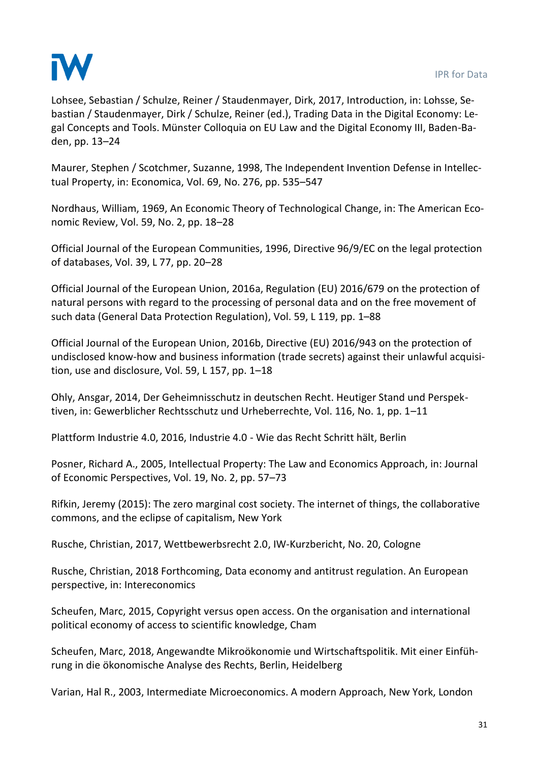

Lohsee, Sebastian / Schulze, Reiner / Staudenmayer, Dirk, 2017, Introduction, in: Lohsse, Sebastian / Staudenmayer, Dirk / Schulze, Reiner (ed.), Trading Data in the Digital Economy: Legal Concepts and Tools. Münster Colloquia on EU Law and the Digital Economy III, Baden-Baden, pp. 13–24

Maurer, Stephen / Scotchmer, Suzanne, 1998, The Independent Invention Defense in Intellectual Property, in: Economica, Vol. 69, No. 276, pp. 535–547

Nordhaus, William, 1969, An Economic Theory of Technological Change, in: The American Economic Review, Vol. 59, No. 2, pp. 18–28

Official Journal of the European Communities, 1996, Directive 96/9/EC on the legal protection of databases, Vol. 39, L 77, pp. 20–28

Official Journal of the European Union, 2016a, Regulation (EU) 2016/679 on the protection of natural persons with regard to the processing of personal data and on the free movement of such data (General Data Protection Regulation), Vol. 59, L 119, pp. 1–88

Official Journal of the European Union, 2016b, Directive (EU) 2016/943 on the protection of undisclosed know-how and business information (trade secrets) against their unlawful acquisition, use and disclosure, Vol. 59, L 157, pp. 1–18

Ohly, Ansgar, 2014, Der Geheimnisschutz in deutschen Recht. Heutiger Stand und Perspektiven, in: Gewerblicher Rechtsschutz und Urheberrechte, Vol. 116, No. 1, pp. 1–11

Plattform Industrie 4.0, 2016, Industrie 4.0 - Wie das Recht Schritt hält, Berlin

Posner, Richard A., 2005, Intellectual Property: The Law and Economics Approach, in: Journal of Economic Perspectives, Vol. 19, No. 2, pp. 57–73

Rifkin, Jeremy (2015): The zero marginal cost society. The internet of things, the collaborative commons, and the eclipse of capitalism, New York

Rusche, Christian, 2017, Wettbewerbsrecht 2.0, IW-Kurzbericht, No. 20, Cologne

Rusche, Christian, 2018 Forthcoming, Data economy and antitrust regulation. An European perspective, in: Intereconomics

Scheufen, Marc, 2015, Copyright versus open access. On the organisation and international political economy of access to scientific knowledge, Cham

Scheufen, Marc, 2018, Angewandte Mikroökonomie und Wirtschaftspolitik. Mit einer Einführung in die ökonomische Analyse des Rechts, Berlin, Heidelberg

Varian, Hal R., 2003, Intermediate Microeconomics. A modern Approach, New York, London